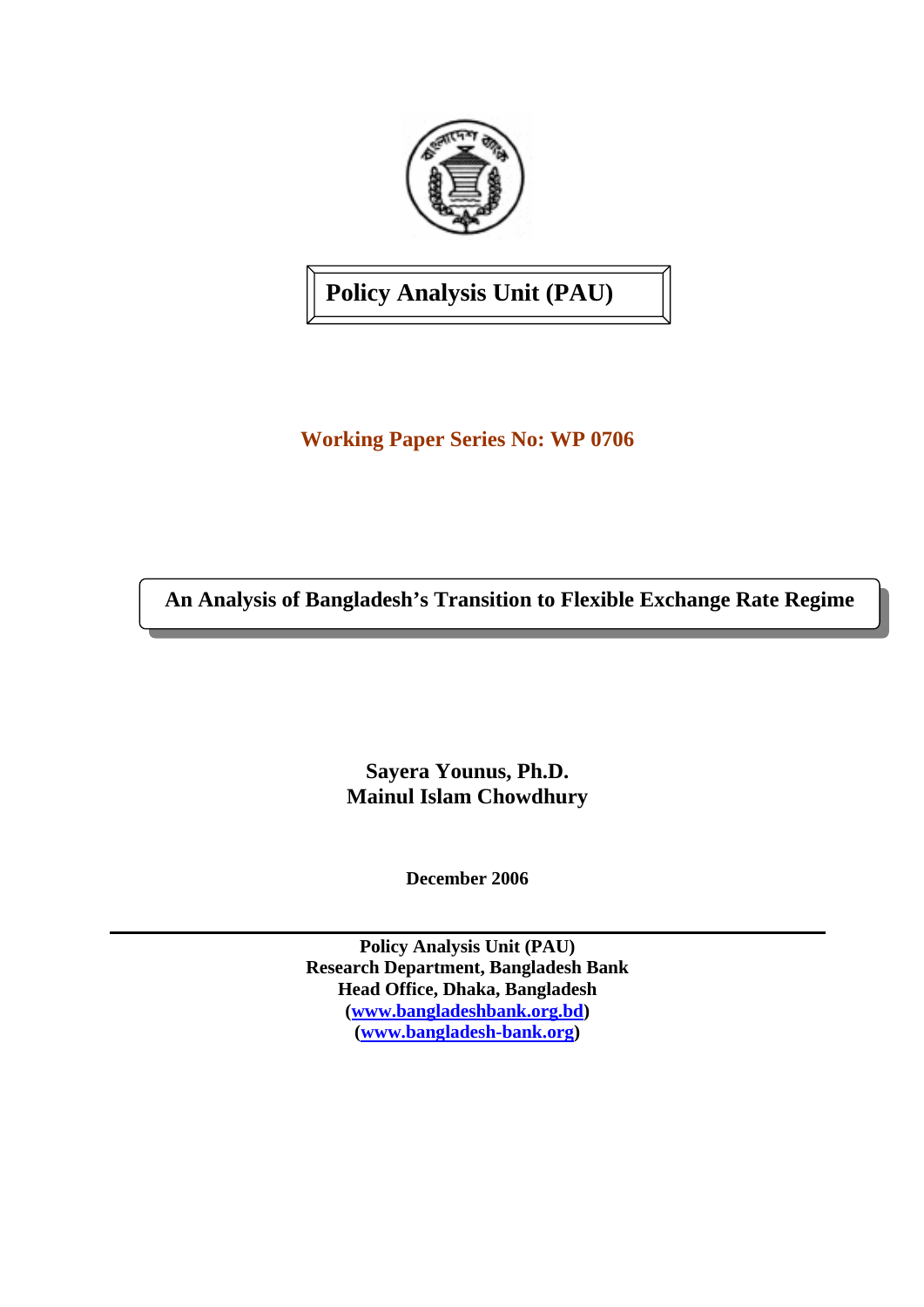

**Policy Analysis Unit (PAU)** 

**Working Paper Series No: WP 0706** 

**An Analysis of Bangladesh's Transition to Flexible Exchange Rate Regime** 

**Sayera Younus, Ph.D. Mainul Islam Chowdhury** 

**December 2006** 

**Policy Analysis Unit (PAU) Research Department, Bangladesh Bank Head Office, Dhaka, Bangladesh [\(www.bangladeshbank.org.bd](http://www.bangladeshbank.org.bd/)) ([www.bangladesh-bank.org\)](http://www.bangladesh-bank.org/)**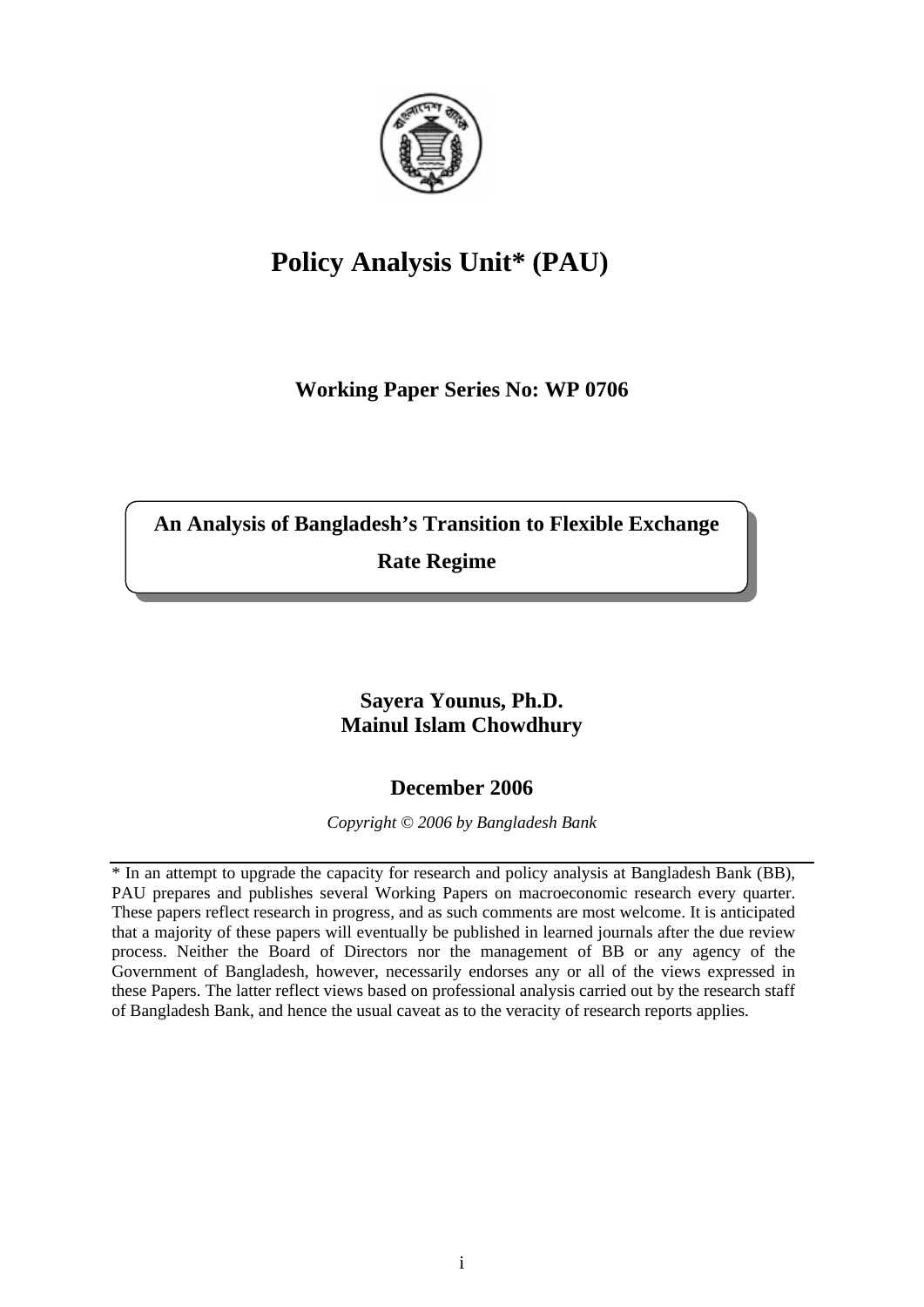

# **Policy Analysis Unit\* (PAU)**

**Working Paper Series No: WP 0706** 

**An Analysis of Bangladesh's Transition to Flexible Exchange** 

**Rate Regime** 

# **Sayera Younus, Ph.D. Mainul Islam Chowdhury**

# **December 2006**

*Copyright © 2006 by Bangladesh Bank* 

\* In an attempt to upgrade the capacity for research and policy analysis at Bangladesh Bank (BB), PAU prepares and publishes several Working Papers on macroeconomic research every quarter. These papers reflect research in progress, and as such comments are most welcome. It is anticipated that a majority of these papers will eventually be published in learned journals after the due review process. Neither the Board of Directors nor the management of BB or any agency of the Government of Bangladesh, however, necessarily endorses any or all of the views expressed in these Papers. The latter reflect views based on professional analysis carried out by the research staff of Bangladesh Bank, and hence the usual caveat as to the veracity of research reports applies.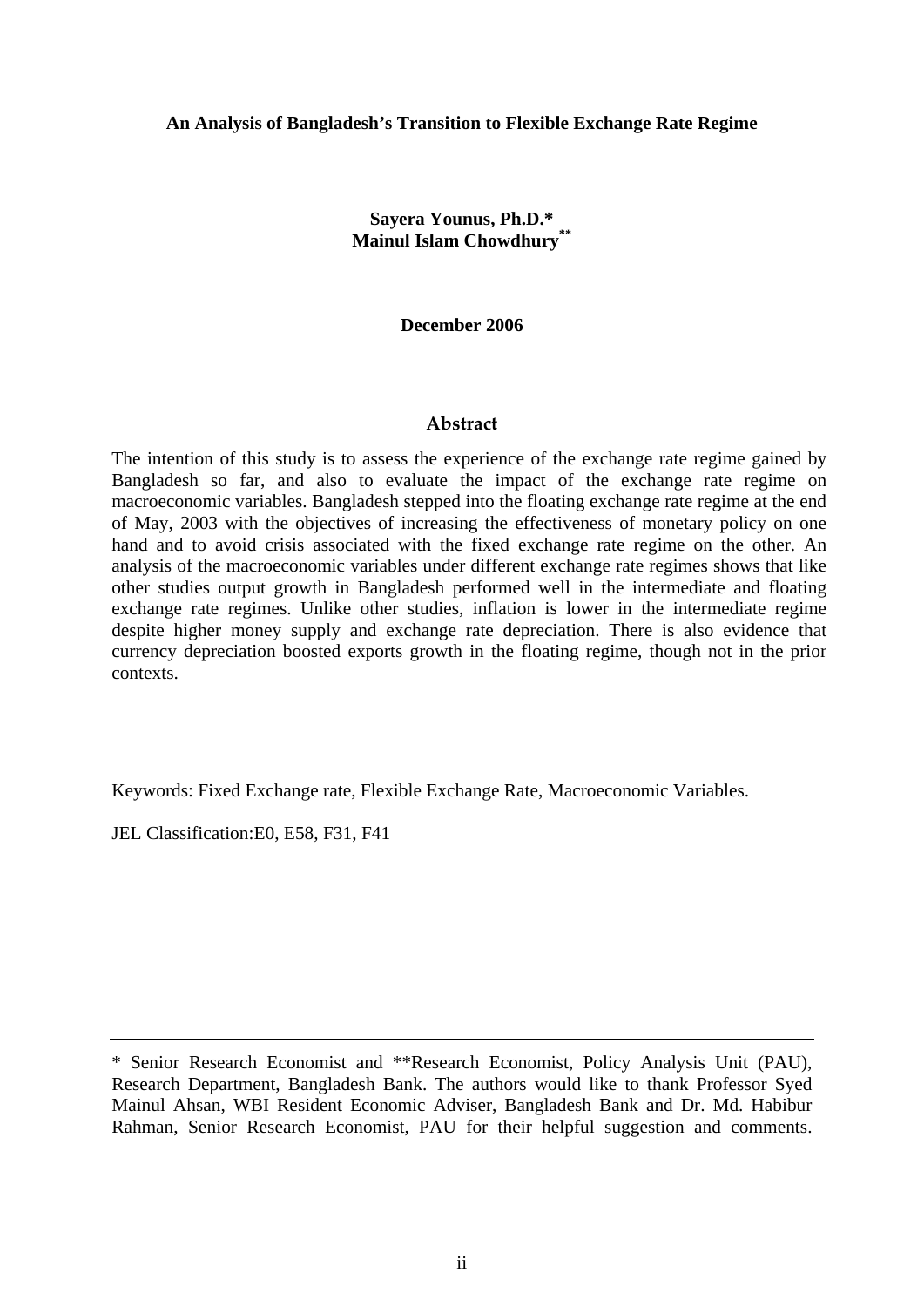#### **An Analysis of Bangladesh's Transition to Flexible Exchange Rate Regime**

**Sayera Younus, Ph.D.\* Mainul Islam Chowdhury\*\*** 

**December 2006** 

#### **Abstract**

The intention of this study is to assess the experience of the exchange rate regime gained by Bangladesh so far, and also to evaluate the impact of the exchange rate regime on macroeconomic variables. Bangladesh stepped into the floating exchange rate regime at the end of May, 2003 with the objectives of increasing the effectiveness of monetary policy on one hand and to avoid crisis associated with the fixed exchange rate regime on the other. An analysis of the macroeconomic variables under different exchange rate regimes shows that like other studies output growth in Bangladesh performed well in the intermediate and floating exchange rate regimes. Unlike other studies, inflation is lower in the intermediate regime despite higher money supply and exchange rate depreciation. There is also evidence that currency depreciation boosted exports growth in the floating regime, though not in the prior contexts.

Keywords: Fixed Exchange rate, Flexible Exchange Rate, Macroeconomic Variables.

JEL Classification:E0, E58, F31, F41

<sup>\*</sup> Senior Research Economist and \*\*Research Economist, Policy Analysis Unit (PAU), Research Department, Bangladesh Bank. The authors would like to thank Professor Syed Mainul Ahsan, WBI Resident Economic Adviser, Bangladesh Bank and Dr. Md. Habibur Rahman, Senior Research Economist, PAU for their helpful suggestion and comments.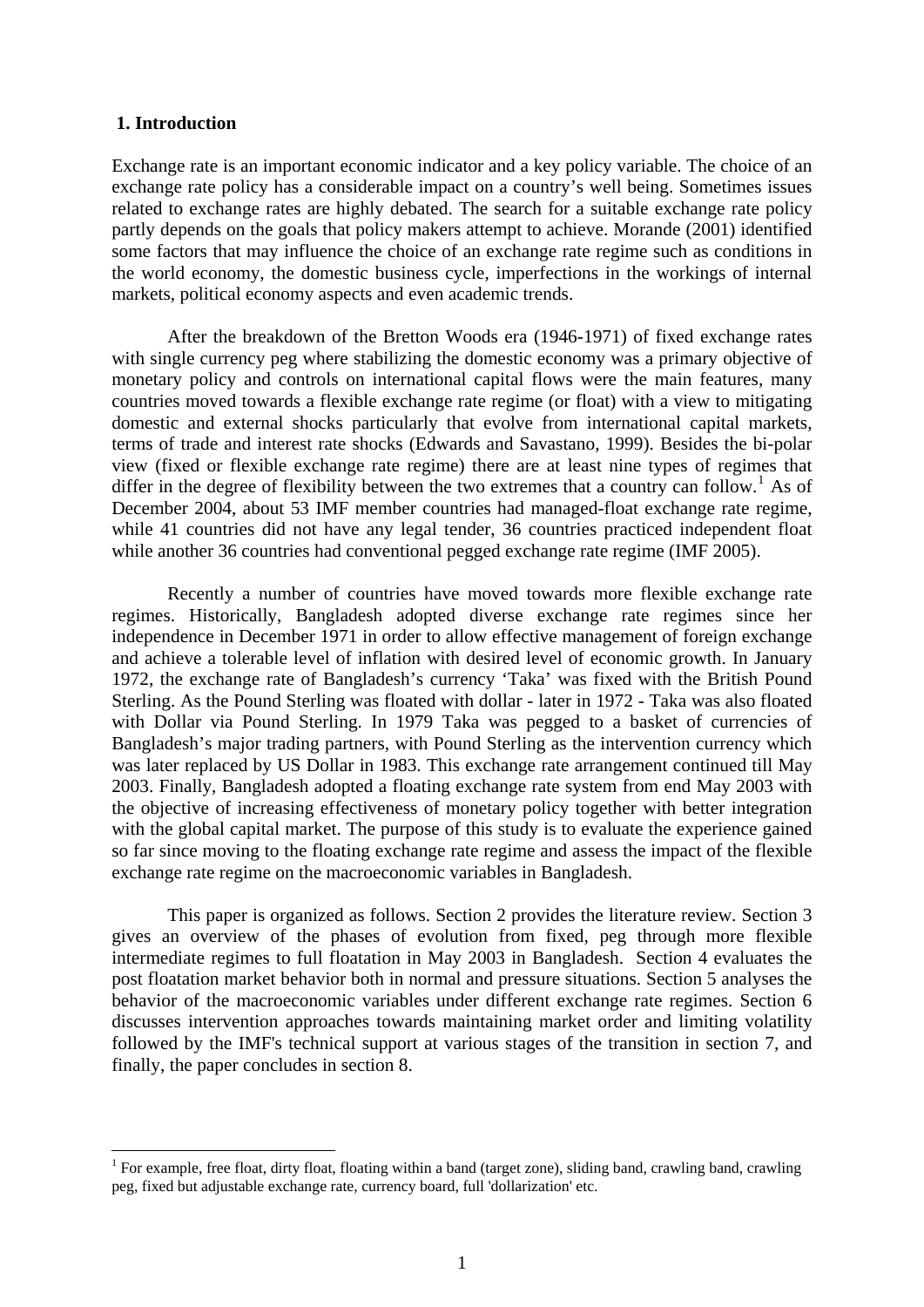#### **1. Introduction**

1

Exchange rate is an important economic indicator and a key policy variable. The choice of an exchange rate policy has a considerable impact on a country's well being. Sometimes issues related to exchange rates are highly debated. The search for a suitable exchange rate policy partly depends on the goals that policy makers attempt to achieve. Morande (2001) identified some factors that may influence the choice of an exchange rate regime such as conditions in the world economy, the domestic business cycle, imperfections in the workings of internal markets, political economy aspects and even academic trends.

After the breakdown of the Bretton Woods era (1946-1971) of fixed exchange rates with single currency peg where stabilizing the domestic economy was a primary objective of monetary policy and controls on international capital flows were the main features, many countries moved towards a flexible exchange rate regime (or float) with a view to mitigating domestic and external shocks particularly that evolve from international capital markets, terms of trade and interest rate shocks (Edwards and Savastano, 1999). Besides the bi-polar view (fixed or flexible exchange rate regime) there are at least nine types of regimes that differ in the degree of flexibility between the two extremes that a country can follow.<sup>[1](#page-3-0)</sup> As of December 2004, about 53 IMF member countries had managed-float exchange rate regime, while 41 countries did not have any legal tender, 36 countries practiced independent float while another 36 countries had conventional pegged exchange rate regime (IMF 2005).

Recently a number of countries have moved towards more flexible exchange rate regimes. Historically, Bangladesh adopted diverse exchange rate regimes since her independence in December 1971 in order to allow effective management of foreign exchange and achieve a tolerable level of inflation with desired level of economic growth. In January 1972, the exchange rate of Bangladesh's currency 'Taka' was fixed with the British Pound Sterling. As the Pound Sterling was floated with dollar - later in 1972 - Taka was also floated with Dollar via Pound Sterling. In 1979 Taka was pegged to a basket of currencies of Bangladesh's major trading partners, with Pound Sterling as the intervention currency which was later replaced by US Dollar in 1983. This exchange rate arrangement continued till May 2003. Finally, Bangladesh adopted a floating exchange rate system from end May 2003 with the objective of increasing effectiveness of monetary policy together with better integration with the global capital market. The purpose of this study is to evaluate the experience gained so far since moving to the floating exchange rate regime and assess the impact of the flexible exchange rate regime on the macroeconomic variables in Bangladesh.

This paper is organized as follows. Section 2 provides the literature review. Section 3 gives an overview of the phases of evolution from fixed, peg through more flexible intermediate regimes to full floatation in May 2003 in Bangladesh. Section 4 evaluates the post floatation market behavior both in normal and pressure situations. Section 5 analyses the behavior of the macroeconomic variables under different exchange rate regimes. Section 6 discusses intervention approaches towards maintaining market order and limiting volatility followed by the IMF's technical support at various stages of the transition in section 7, and finally, the paper concludes in section 8.

<span id="page-3-0"></span><sup>&</sup>lt;sup>1</sup> For example, free float, dirty float, floating within a band (target zone), sliding band, crawling band, crawling peg, fixed but adjustable exchange rate, currency board, full 'dollarization' etc.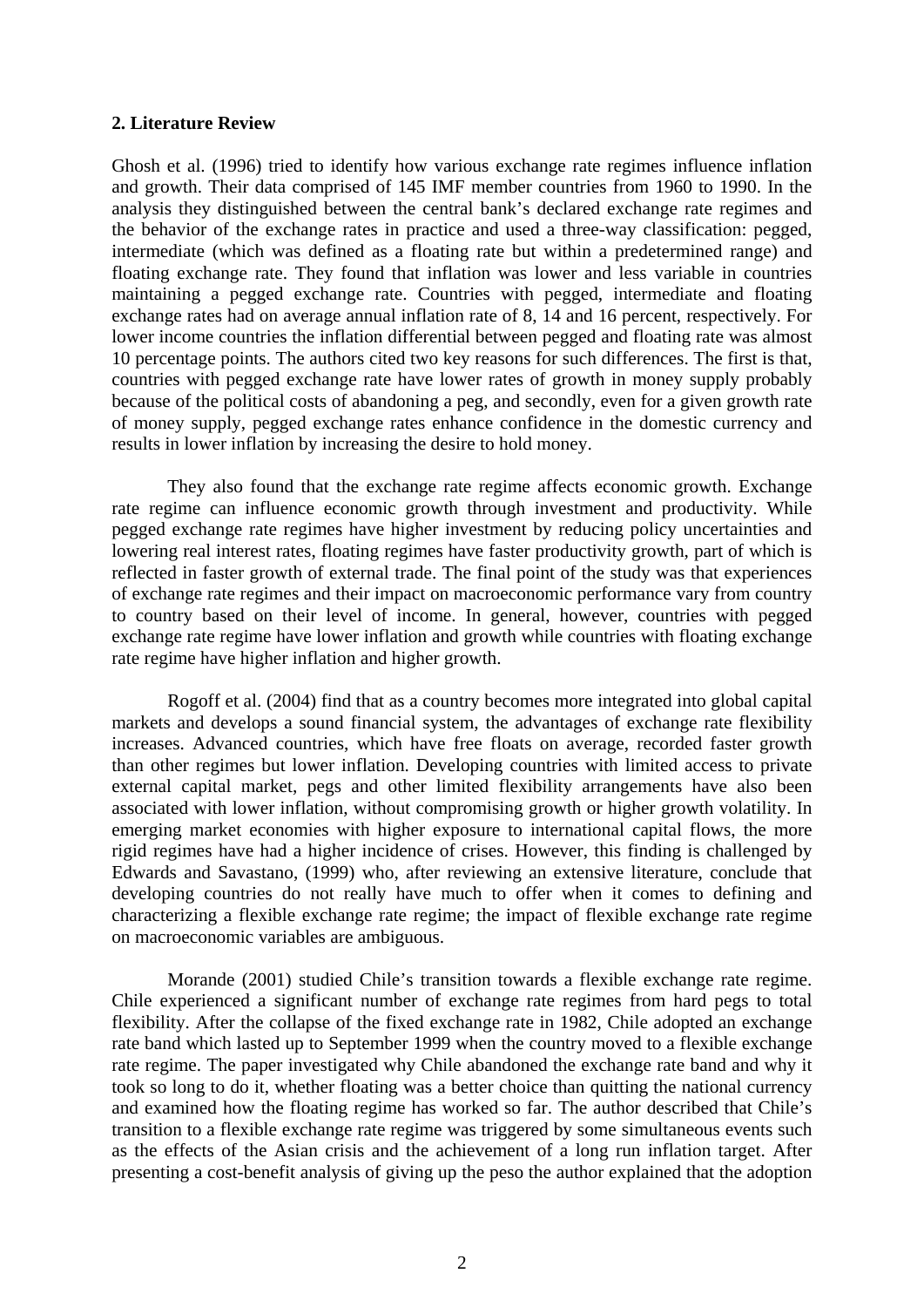#### **2. Literature Review**

Ghosh et al. (1996) tried to identify how various exchange rate regimes influence inflation and growth. Their data comprised of 145 IMF member countries from 1960 to 1990. In the analysis they distinguished between the central bank's declared exchange rate regimes and the behavior of the exchange rates in practice and used a three-way classification: pegged, intermediate (which was defined as a floating rate but within a predetermined range) and floating exchange rate. They found that inflation was lower and less variable in countries maintaining a pegged exchange rate. Countries with pegged, intermediate and floating exchange rates had on average annual inflation rate of 8, 14 and 16 percent, respectively. For lower income countries the inflation differential between pegged and floating rate was almost 10 percentage points. The authors cited two key reasons for such differences. The first is that, countries with pegged exchange rate have lower rates of growth in money supply probably because of the political costs of abandoning a peg, and secondly, even for a given growth rate of money supply, pegged exchange rates enhance confidence in the domestic currency and results in lower inflation by increasing the desire to hold money.

They also found that the exchange rate regime affects economic growth. Exchange rate regime can influence economic growth through investment and productivity. While pegged exchange rate regimes have higher investment by reducing policy uncertainties and lowering real interest rates, floating regimes have faster productivity growth, part of which is reflected in faster growth of external trade. The final point of the study was that experiences of exchange rate regimes and their impact on macroeconomic performance vary from country to country based on their level of income. In general, however, countries with pegged exchange rate regime have lower inflation and growth while countries with floating exchange rate regime have higher inflation and higher growth.

Rogoff et al. (2004) find that as a country becomes more integrated into global capital markets and develops a sound financial system, the advantages of exchange rate flexibility increases. Advanced countries, which have free floats on average, recorded faster growth than other regimes but lower inflation. Developing countries with limited access to private external capital market, pegs and other limited flexibility arrangements have also been associated with lower inflation, without compromising growth or higher growth volatility. In emerging market economies with higher exposure to international capital flows, the more rigid regimes have had a higher incidence of crises. However, this finding is challenged by Edwards and Savastano, (1999) who, after reviewing an extensive literature, conclude that developing countries do not really have much to offer when it comes to defining and characterizing a flexible exchange rate regime; the impact of flexible exchange rate regime on macroeconomic variables are ambiguous.

Morande (2001) studied Chile's transition towards a flexible exchange rate regime. Chile experienced a significant number of exchange rate regimes from hard pegs to total flexibility. After the collapse of the fixed exchange rate in 1982, Chile adopted an exchange rate band which lasted up to September 1999 when the country moved to a flexible exchange rate regime. The paper investigated why Chile abandoned the exchange rate band and why it took so long to do it, whether floating was a better choice than quitting the national currency and examined how the floating regime has worked so far. The author described that Chile's transition to a flexible exchange rate regime was triggered by some simultaneous events such as the effects of the Asian crisis and the achievement of a long run inflation target. After presenting a cost-benefit analysis of giving up the peso the author explained that the adoption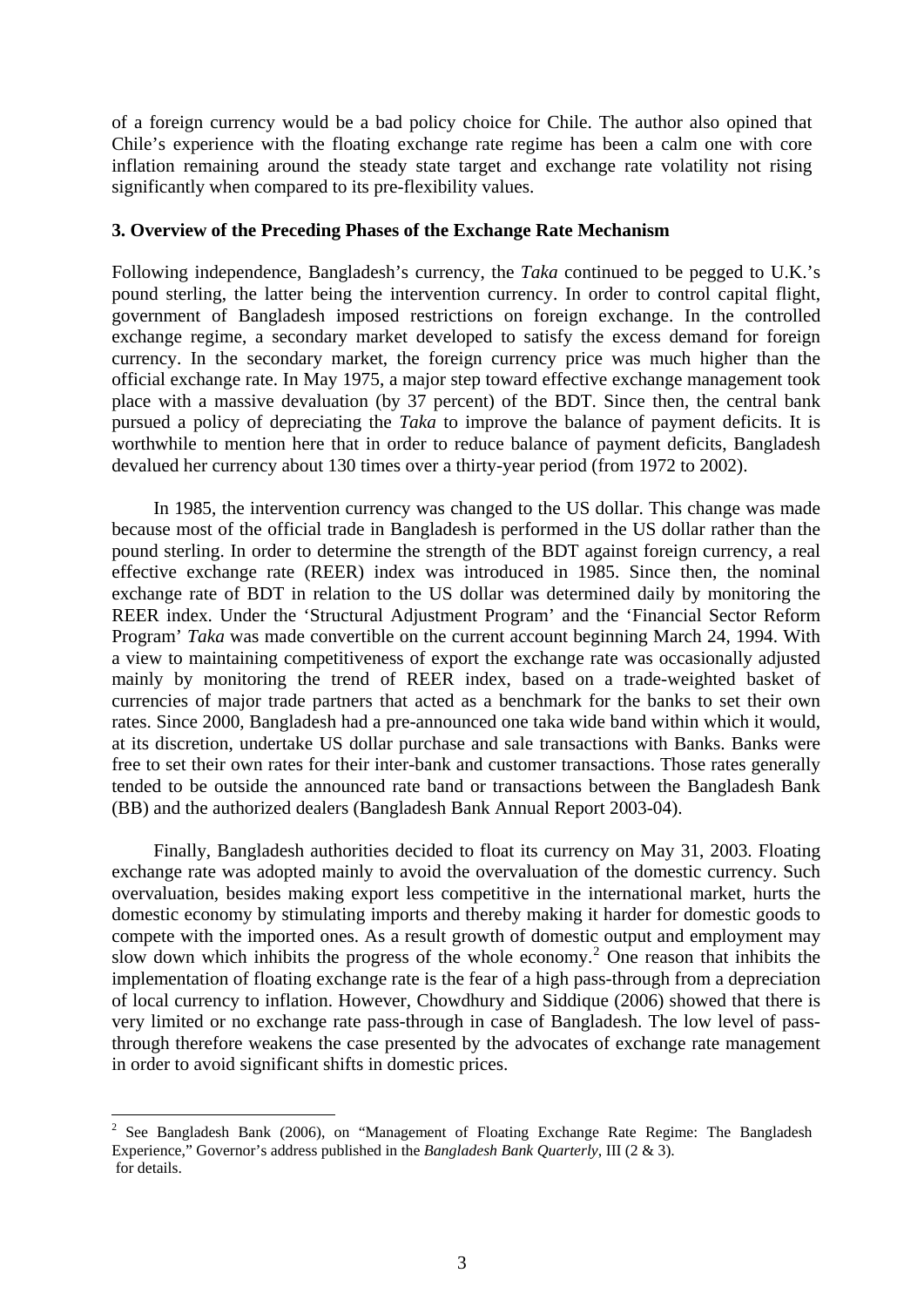of a foreign currency would be a bad policy choice for Chile. The author also opined that Chile's experience with the floating exchange rate regime has been a calm one with core inflation remaining around the steady state target and exchange rate volatility not rising significantly when compared to its pre-flexibility values.

#### **3. Overview of the Preceding Phases of the Exchange Rate Mechanism**

Following independence, Bangladesh's currency, the *Taka* continued to be pegged to U.K.'s pound sterling, the latter being the intervention currency. In order to control capital flight, government of Bangladesh imposed restrictions on foreign exchange. In the controlled exchange regime, a secondary market developed to satisfy the excess demand for foreign currency. In the secondary market, the foreign currency price was much higher than the official exchange rate. In May 1975, a major step toward effective exchange management took place with a massive devaluation (by 37 percent) of the BDT. Since then, the central bank pursued a policy of depreciating the *Taka* to improve the balance of payment deficits. It is worthwhile to mention here that in order to reduce balance of payment deficits, Bangladesh devalued her currency about 130 times over a thirty-year period (from 1972 to 2002).

In 1985, the intervention currency was changed to the US dollar. This change was made because most of the official trade in Bangladesh is performed in the US dollar rather than the pound sterling. In order to determine the strength of the BDT against foreign currency, a real effective exchange rate (REER) index was introduced in 1985. Since then, the nominal exchange rate of BDT in relation to the US dollar was determined daily by monitoring the REER index. Under the 'Structural Adjustment Program' and the 'Financial Sector Reform Program' *Taka* was made convertible on the current account beginning March 24, 1994. With a view to maintaining competitiveness of export the exchange rate was occasionally adjusted mainly by monitoring the trend of REER index, based on a trade-weighted basket of currencies of major trade partners that acted as a benchmark for the banks to set their own rates. Since 2000, Bangladesh had a pre-announced one taka wide band within which it would, at its discretion, undertake US dollar purchase and sale transactions with Banks. Banks were free to set their own rates for their inter-bank and customer transactions. Those rates generally tended to be outside the announced rate band or transactions between the Bangladesh Bank (BB) and the authorized dealers (Bangladesh Bank Annual Report 2003-04).

Finally, Bangladesh authorities decided to float its currency on May 31, 2003. Floating exchange rate was adopted mainly to avoid the overvaluation of the domestic currency. Such overvaluation, besides making export less competitive in the international market, hurts the domestic economy by stimulating imports and thereby making it harder for domestic goods to compete with the imported ones. As a result growth of domestic output and employment may slow down which inhibits the progress of the whole economy.<sup>[2](#page-5-0)</sup> One reason that inhibits the implementation of floating exchange rate is the fear of a high pass-through from a depreciation of local currency to inflation. However, Chowdhury and Siddique (2006) showed that there is very limited or no exchange rate pass-through in case of Bangladesh. The low level of passthrough therefore weakens the case presented by the advocates of exchange rate management in order to avoid significant shifts in domestic prices.

<span id="page-5-0"></span><sup>&</sup>lt;sup>2</sup> See Bangladesh Bank (2006), on "Management of Floating Exchange Rate Regime: The Bangladesh Experience," Governor's address published in the *Bangladesh Bank Quarterly*, III (2 & 3). for details.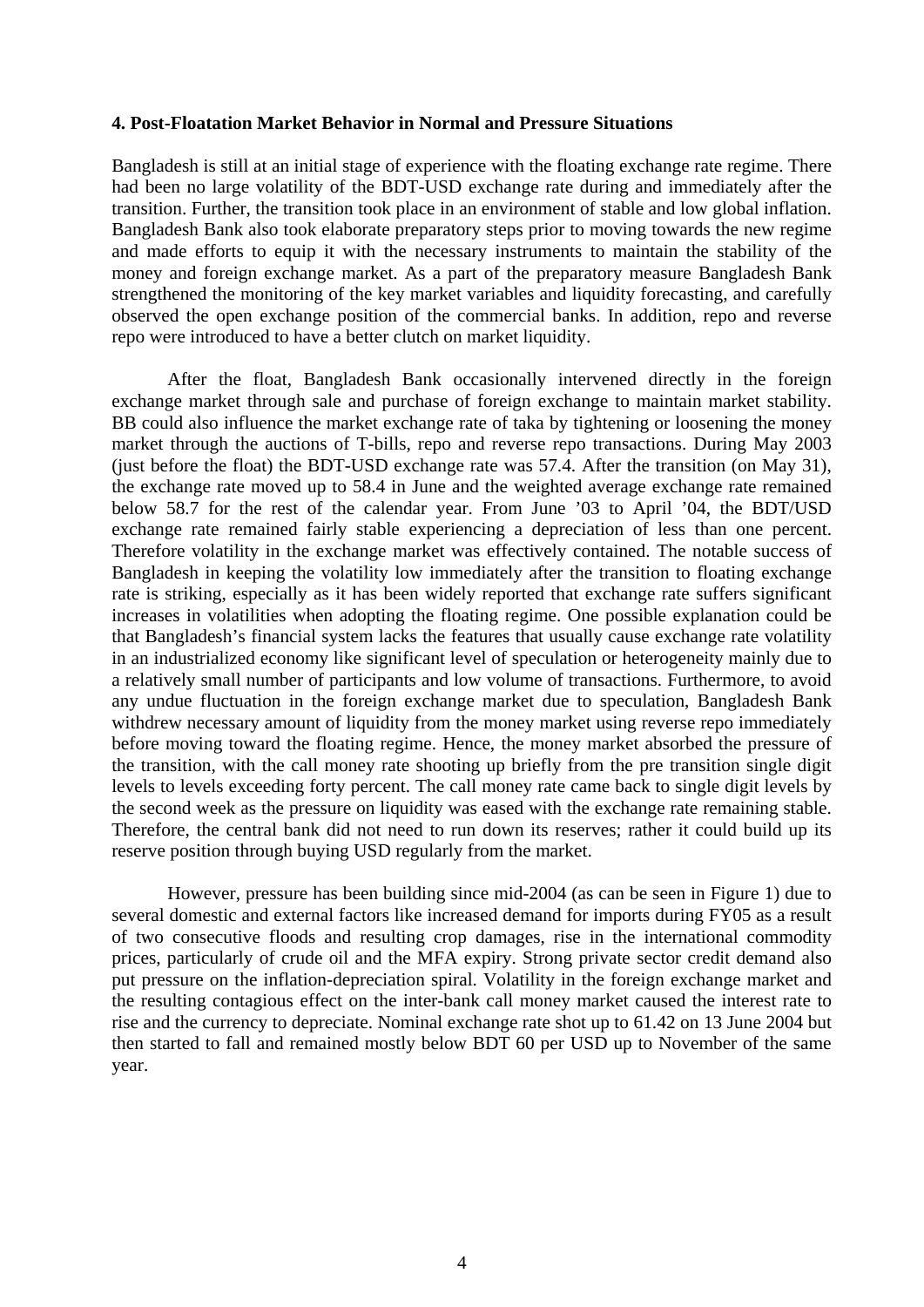#### **4. Post-Floatation Market Behavior in Normal and Pressure Situations**

Bangladesh is still at an initial stage of experience with the floating exchange rate regime. There had been no large volatility of the BDT-USD exchange rate during and immediately after the transition. Further, the transition took place in an environment of stable and low global inflation. Bangladesh Bank also took elaborate preparatory steps prior to moving towards the new regime and made efforts to equip it with the necessary instruments to maintain the stability of the money and foreign exchange market. As a part of the preparatory measure Bangladesh Bank strengthened the monitoring of the key market variables and liquidity forecasting, and carefully observed the open exchange position of the commercial banks. In addition, repo and reverse repo were introduced to have a better clutch on market liquidity.

After the float, Bangladesh Bank occasionally intervened directly in the foreign exchange market through sale and purchase of foreign exchange to maintain market stability. BB could also influence the market exchange rate of taka by tightening or loosening the money market through the auctions of T-bills, repo and reverse repo transactions. During May 2003 (just before the float) the BDT-USD exchange rate was 57.4. After the transition (on May 31), the exchange rate moved up to 58.4 in June and the weighted average exchange rate remained below 58.7 for the rest of the calendar year. From June '03 to April '04, the BDT/USD exchange rate remained fairly stable experiencing a depreciation of less than one percent. Therefore volatility in the exchange market was effectively contained. The notable success of Bangladesh in keeping the volatility low immediately after the transition to floating exchange rate is striking, especially as it has been widely reported that exchange rate suffers significant increases in volatilities when adopting the floating regime. One possible explanation could be that Bangladesh's financial system lacks the features that usually cause exchange rate volatility in an industrialized economy like significant level of speculation or heterogeneity mainly due to a relatively small number of participants and low volume of transactions. Furthermore, to avoid any undue fluctuation in the foreign exchange market due to speculation, Bangladesh Bank withdrew necessary amount of liquidity from the money market using reverse repo immediately before moving toward the floating regime. Hence, the money market absorbed the pressure of the transition, with the call money rate shooting up briefly from the pre transition single digit levels to levels exceeding forty percent. The call money rate came back to single digit levels by the second week as the pressure on liquidity was eased with the exchange rate remaining stable. Therefore, the central bank did not need to run down its reserves; rather it could build up its reserve position through buying USD regularly from the market.

However, pressure has been building since mid-2004 (as can be seen in Figure 1) due to several domestic and external factors like increased demand for imports during FY05 as a result of two consecutive floods and resulting crop damages, rise in the international commodity prices, particularly of crude oil and the MFA expiry. Strong private sector credit demand also put pressure on the inflation-depreciation spiral. Volatility in the foreign exchange market and the resulting contagious effect on the inter-bank call money market caused the interest rate to rise and the currency to depreciate. Nominal exchange rate shot up to 61.42 on 13 June 2004 but then started to fall and remained mostly below BDT 60 per USD up to November of the same year.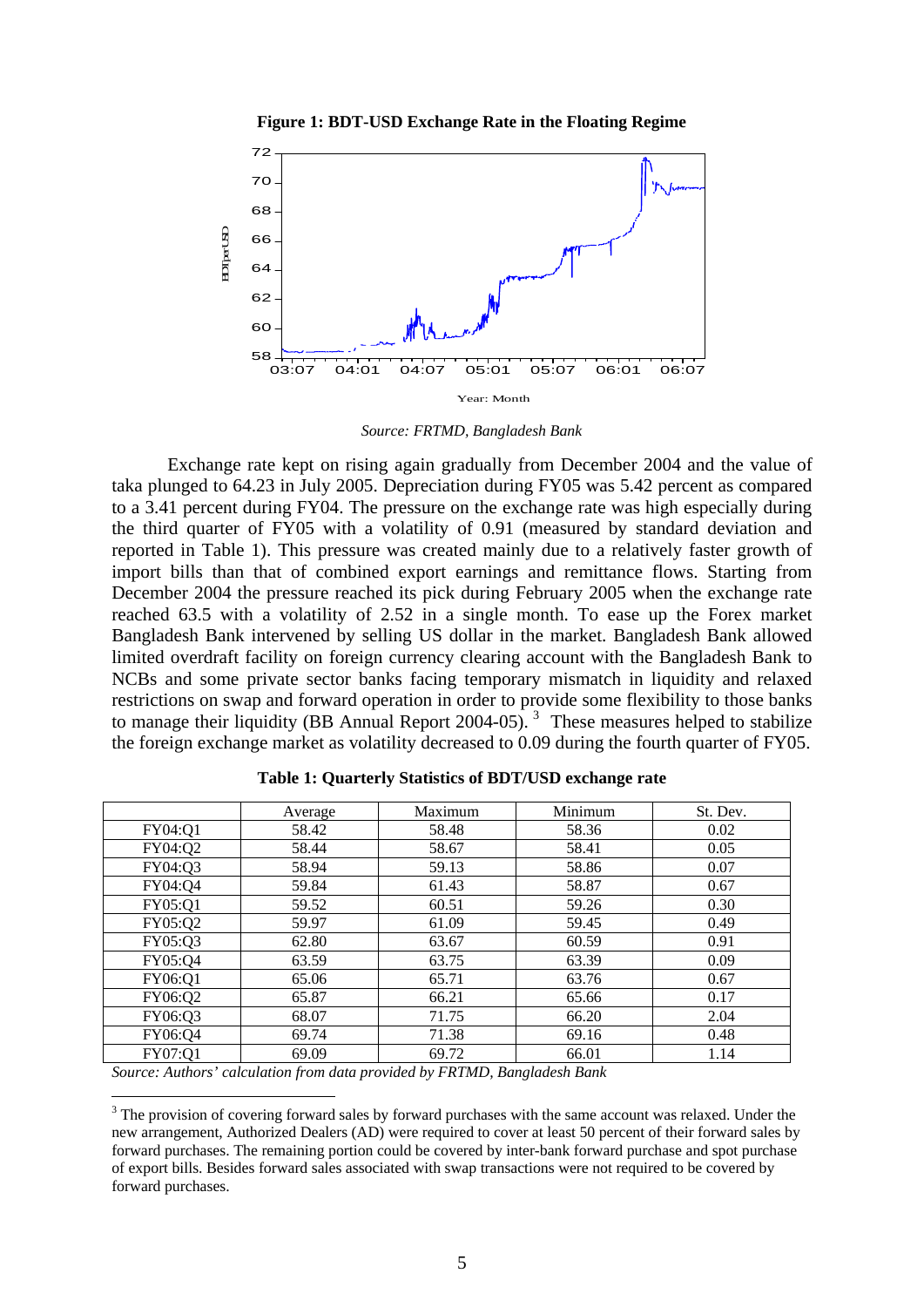



*Source: FRTMD, Bangladesh Bank*

Exchange rate kept on rising again gradually from December 2004 and the value of taka plunged to 64.23 in July 2005. Depreciation during FY05 was 5.42 percent as compared to a 3.41 percent during FY04. The pressure on the exchange rate was high especially during the third quarter of FY05 with a volatility of 0.91 (measured by standard deviation and reported in Table 1). This pressure was created mainly due to a relatively faster growth of import bills than that of combined export earnings and remittance flows. Starting from December 2004 the pressure reached its pick during February 2005 when the exchange rate reached 63.5 with a volatility of 2.52 in a single month. To ease up the Forex market Bangladesh Bank intervened by selling US dollar in the market. Bangladesh Bank allowed limited overdraft facility on foreign currency clearing account with the Bangladesh Bank to NCBs and some private sector banks facing temporary mismatch in liquidity and relaxed restrictions on swap and forward operation in order to provide some flexibility to those banks to manage their liquidity (BB Annual Report 2004-05).<sup>[3](#page-7-0)</sup> These measures helped to stabilize the foreign exchange market as volatility decreased to 0.09 during the fourth quarter of FY05.

|         | Average | Maximum | Minimum | St. Dev. |
|---------|---------|---------|---------|----------|
| FY04:Q1 | 58.42   | 58.48   | 58.36   | 0.02     |
| FY04:Q2 | 58.44   | 58.67   | 58.41   | 0.05     |
| FY04:Q3 | 58.94   | 59.13   | 58.86   | 0.07     |
| FY04:Q4 | 59.84   | 61.43   | 58.87   | 0.67     |
| FY05:Q1 | 59.52   | 60.51   | 59.26   | 0.30     |
| FY05:Q2 | 59.97   | 61.09   | 59.45   | 0.49     |
| FY05:Q3 | 62.80   | 63.67   | 60.59   | 0.91     |
| FY05:Q4 | 63.59   | 63.75   | 63.39   | 0.09     |
| FY06:Q1 | 65.06   | 65.71   | 63.76   | 0.67     |
| FY06:Q2 | 65.87   | 66.21   | 65.66   | 0.17     |
| FY06:Q3 | 68.07   | 71.75   | 66.20   | 2.04     |
| FY06:Q4 | 69.74   | 71.38   | 69.16   | 0.48     |
| FY07:Q1 | 69.09   | 69.72   | 66.01   | 1.14     |

**Table 1: Quarterly Statistics of BDT/USD exchange rate** 

*Source: Authors' calculation from data provided by FRTMD, Bangladesh Bank* 

1

<span id="page-7-0"></span><sup>&</sup>lt;sup>3</sup> The provision of covering forward sales by forward purchases with the same account was relaxed. Under the new arrangement, Authorized Dealers (AD) were required to cover at least 50 percent of their forward sales by forward purchases. The remaining portion could be covered by inter-bank forward purchase and spot purchase of export bills. Besides forward sales associated with swap transactions were not required to be covered by forward purchases.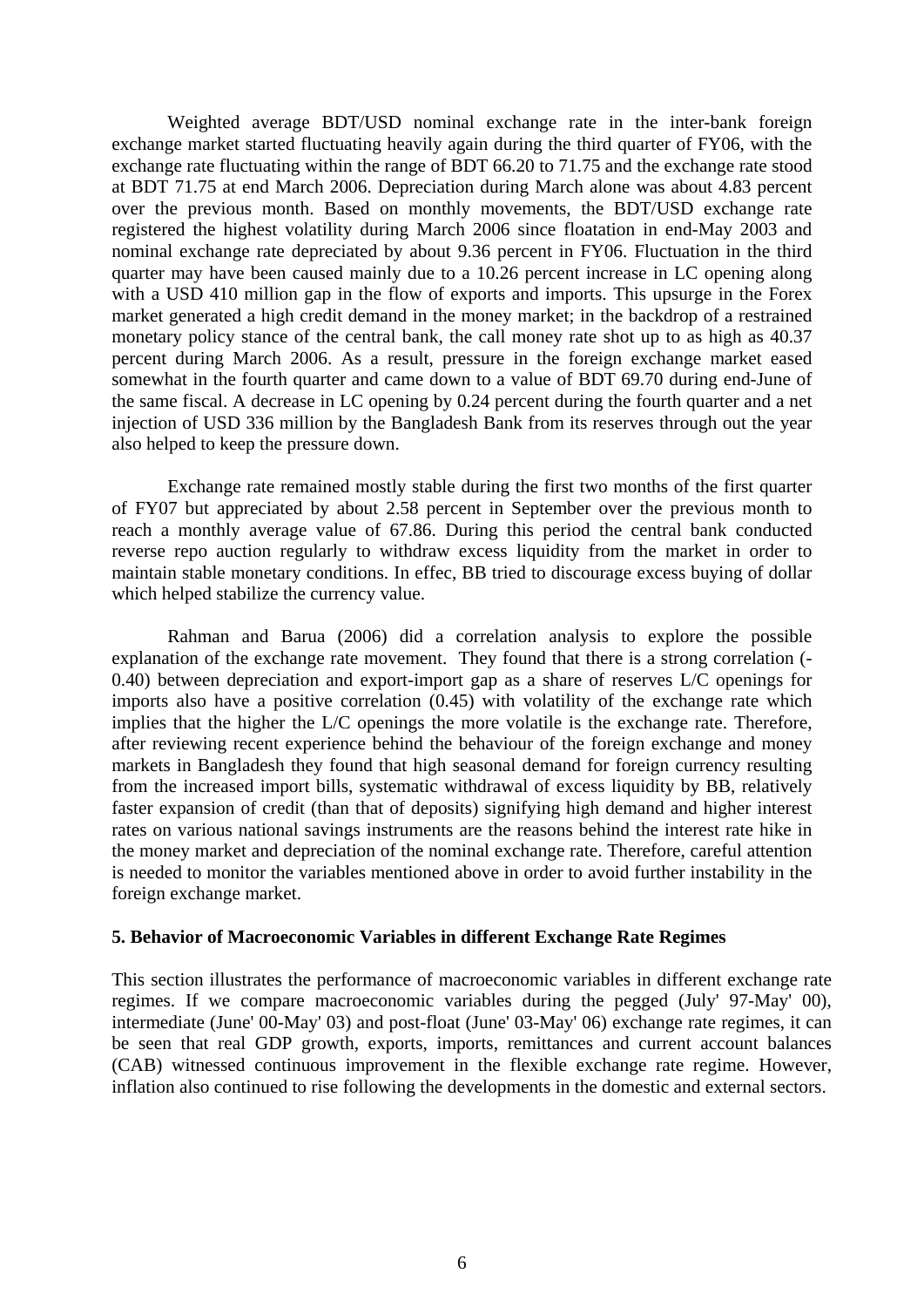Weighted average BDT/USD nominal exchange rate in the inter-bank foreign exchange market started fluctuating heavily again during the third quarter of FY06, with the exchange rate fluctuating within the range of BDT 66.20 to 71.75 and the exchange rate stood at BDT 71.75 at end March 2006. Depreciation during March alone was about 4.83 percent over the previous month. Based on monthly movements, the BDT/USD exchange rate registered the highest volatility during March 2006 since floatation in end-May 2003 and nominal exchange rate depreciated by about 9.36 percent in FY06. Fluctuation in the third quarter may have been caused mainly due to a 10.26 percent increase in LC opening along with a USD 410 million gap in the flow of exports and imports. This upsurge in the Forex market generated a high credit demand in the money market; in the backdrop of a restrained monetary policy stance of the central bank, the call money rate shot up to as high as 40.37 percent during March 2006. As a result, pressure in the foreign exchange market eased somewhat in the fourth quarter and came down to a value of BDT 69.70 during end-June of the same fiscal. A decrease in LC opening by 0.24 percent during the fourth quarter and a net injection of USD 336 million by the Bangladesh Bank from its reserves through out the year also helped to keep the pressure down.

Exchange rate remained mostly stable during the first two months of the first quarter of FY07 but appreciated by about 2.58 percent in September over the previous month to reach a monthly average value of 67.86. During this period the central bank conducted reverse repo auction regularly to withdraw excess liquidity from the market in order to maintain stable monetary conditions. In effec, BB tried to discourage excess buying of dollar which helped stabilize the currency value.

Rahman and Barua (2006) did a correlation analysis to explore the possible explanation of the exchange rate movement. They found that there is a strong correlation (- 0.40) between depreciation and export-import gap as a share of reserves L/C openings for imports also have a positive correlation (0.45) with volatility of the exchange rate which implies that the higher the L/C openings the more volatile is the exchange rate. Therefore, after reviewing recent experience behind the behaviour of the foreign exchange and money markets in Bangladesh they found that high seasonal demand for foreign currency resulting from the increased import bills, systematic withdrawal of excess liquidity by BB, relatively faster expansion of credit (than that of deposits) signifying high demand and higher interest rates on various national savings instruments are the reasons behind the interest rate hike in the money market and depreciation of the nominal exchange rate. Therefore, careful attention is needed to monitor the variables mentioned above in order to avoid further instability in the foreign exchange market.

#### **5. Behavior of Macroeconomic Variables in different Exchange Rate Regimes**

This section illustrates the performance of macroeconomic variables in different exchange rate regimes. If we compare macroeconomic variables during the pegged (July' 97-May' 00), intermediate (June' 00-May' 03) and post-float (June' 03-May' 06) exchange rate regimes, it can be seen that real GDP growth, exports, imports, remittances and current account balances (CAB) witnessed continuous improvement in the flexible exchange rate regime. However, inflation also continued to rise following the developments in the domestic and external sectors.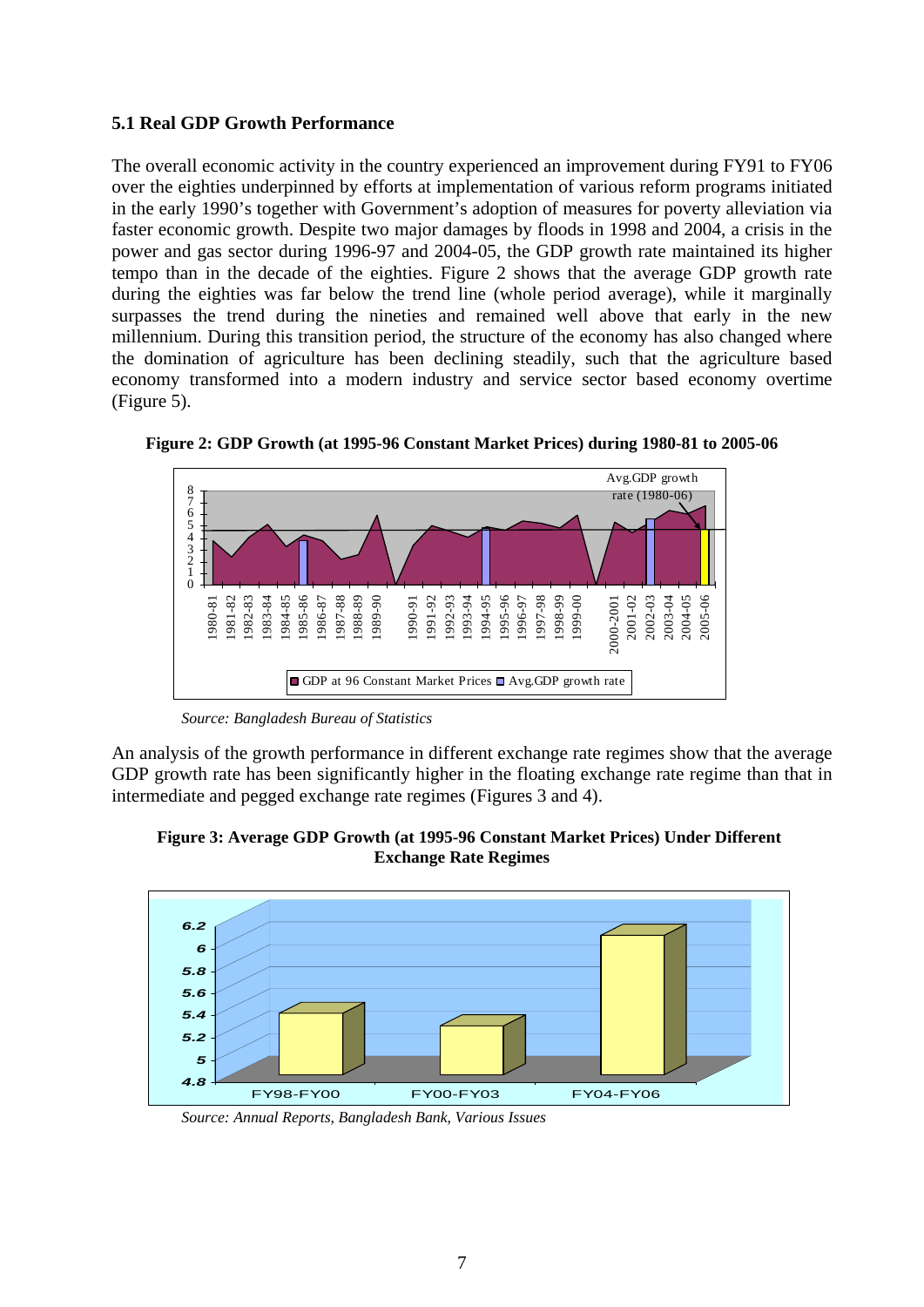# **5.1 Real GDP Growth Performance**

The overall economic activity in the country experienced an improvement during FY91 to FY06 over the eighties underpinned by efforts at implementation of various reform programs initiated in the early 1990's together with Government's adoption of measures for poverty alleviation via faster economic growth. Despite two major damages by floods in 1998 and 2004, a crisis in the power and gas sector during 1996-97 and 2004-05, the GDP growth rate maintained its higher tempo than in the decade of the eighties. Figure 2 shows that the average GDP growth rate during the eighties was far below the trend line (whole period average), while it marginally surpasses the trend during the nineties and remained well above that early in the new millennium. During this transition period, the structure of the economy has also changed where the domination of agriculture has been declining steadily, such that the agriculture based economy transformed into a modern industry and service sector based economy overtime (Figure 5).



**Figure 2: GDP Growth (at 1995-96 Constant Market Prices) during 1980-81 to 2005-06** 

*Source: Bangladesh Bureau of Statistics*

An analysis of the growth performance in different exchange rate regimes show that the average GDP growth rate has been significantly higher in the floating exchange rate regime than that in intermediate and pegged exchange rate regimes (Figures 3 and 4).





*Source: Annual Reports, Bangladesh Bank, Various Issues*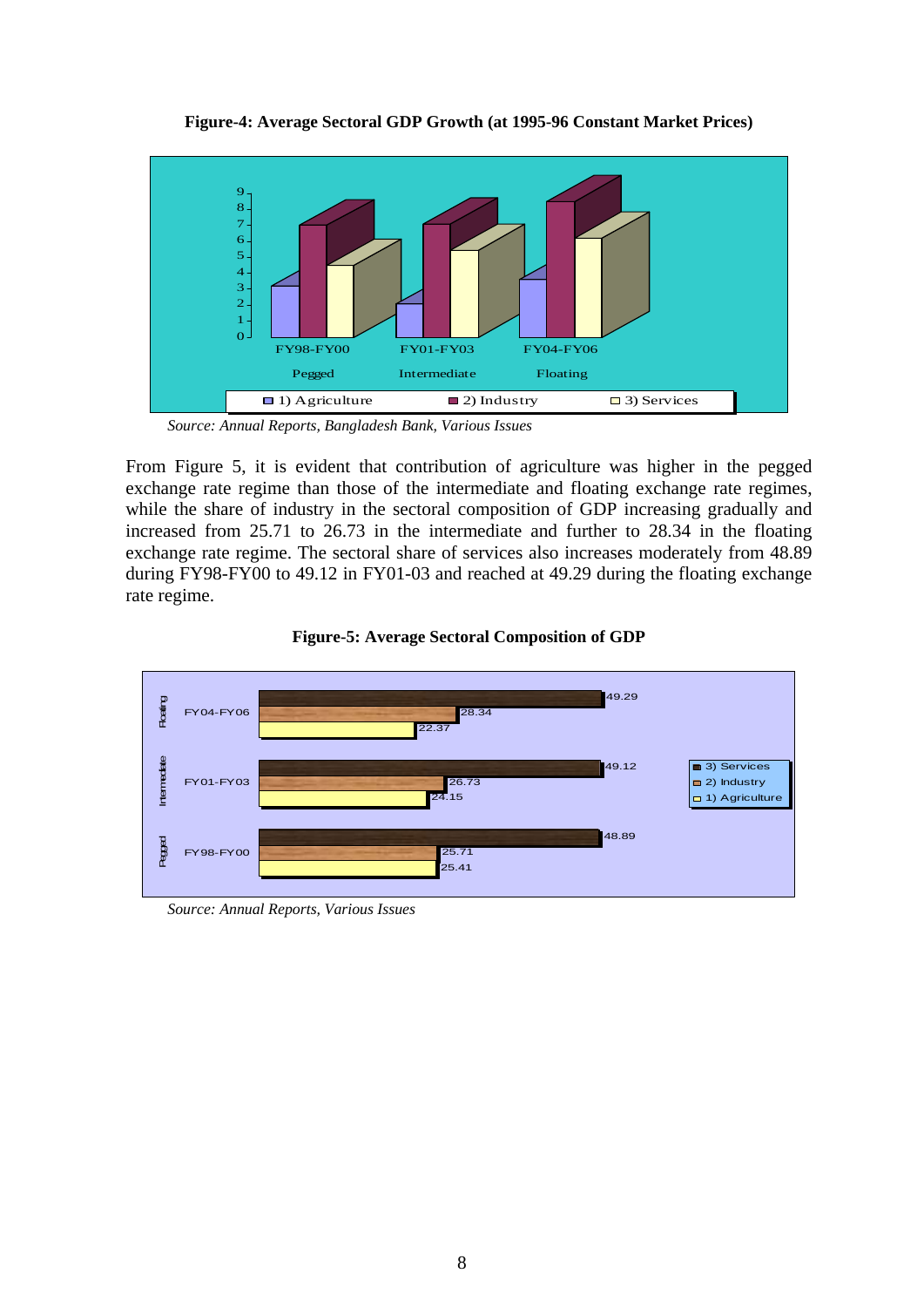

**Figure-4: Average Sectoral GDP Growth (at 1995-96 Constant Market Prices)** 

*Source: Annual Reports, Bangladesh Bank, Various Issues* 

From Figure 5, it is evident that contribution of agriculture was higher in the pegged exchange rate regime than those of the intermediate and floating exchange rate regimes, while the share of industry in the sectoral composition of GDP increasing gradually and increased from 25.71 to 26.73 in the intermediate and further to 28.34 in the floating exchange rate regime. The sectoral share of services also increases moderately from 48.89 during FY98-FY00 to 49.12 in FY01-03 and reached at 49.29 during the floating exchange rate regime.



**Figure-5: Average Sectoral Composition of GDP** 

*Source: Annual Reports, Various Issues*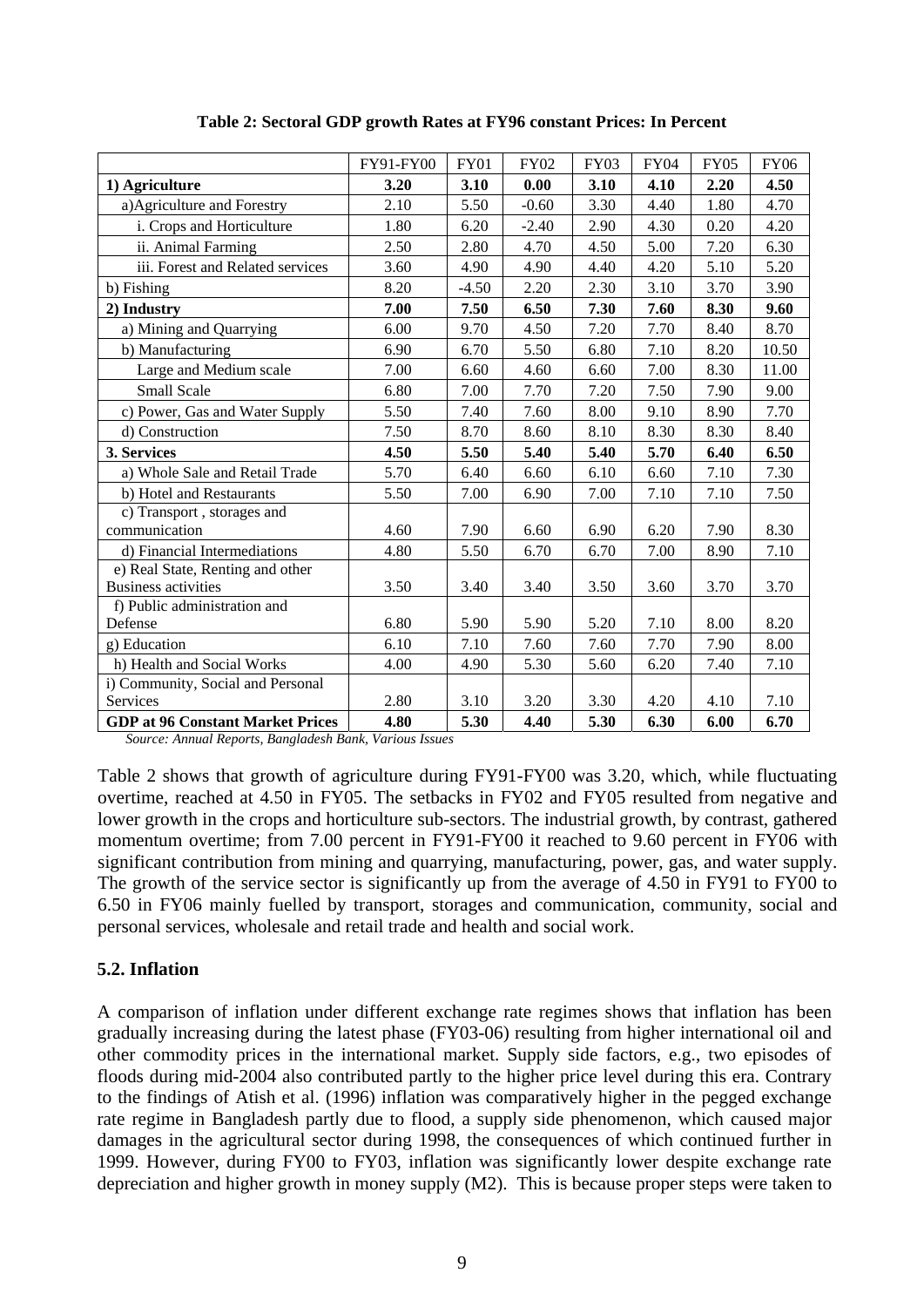|                                         | FY91-FY00 | <b>FY01</b> | <b>FY02</b> | <b>FY03</b> | <b>FY04</b> | <b>FY05</b> | <b>FY06</b> |
|-----------------------------------------|-----------|-------------|-------------|-------------|-------------|-------------|-------------|
| 1) Agriculture                          | 3.20      | 3.10        | 0.00        | 3.10        | 4.10        | 2.20        | 4.50        |
| a) Agriculture and Forestry             | 2.10      | 5.50        | $-0.60$     | 3.30        | 4.40        | 1.80        | 4.70        |
| i. Crops and Horticulture               | 1.80      | 6.20        | $-2.40$     | 2.90        | 4.30        | 0.20        | 4.20        |
| ii. Animal Farming                      | 2.50      | 2.80        | 4.70        | 4.50        | 5.00        | $7.20\,$    | 6.30        |
| iii. Forest and Related services        | 3.60      | 4.90        | 4.90        | 4.40        | 4.20        | 5.10        | 5.20        |
| b) Fishing                              | 8.20      | $-4.50$     | 2.20        | 2.30        | 3.10        | 3.70        | 3.90        |
| 2) Industry                             | 7.00      | 7.50        | 6.50        | 7.30        | 7.60        | 8.30        | 9.60        |
| a) Mining and Quarrying                 | 6.00      | 9.70        | 4.50        | 7.20        | 7.70        | 8.40        | 8.70        |
| b) Manufacturing                        | 6.90      | 6.70        | 5.50        | 6.80        | 7.10        | 8.20        | 10.50       |
| Large and Medium scale                  | 7.00      | 6.60        | 4.60        | 6.60        | 7.00        | 8.30        | 11.00       |
| Small Scale                             | 6.80      | 7.00        | 7.70        | 7.20        | 7.50        | 7.90        | 9.00        |
| c) Power, Gas and Water Supply          | 5.50      | 7.40        | 7.60        | 8.00        | 9.10        | 8.90        | 7.70        |
| d) Construction                         | 7.50      | 8.70        | 8.60        | 8.10        | 8.30        | 8.30        | 8.40        |
| 3. Services                             | 4.50      | 5.50        | 5.40        | 5.40        | 5.70        | 6.40        | 6.50        |
| a) Whole Sale and Retail Trade          | 5.70      | 6.40        | 6.60        | 6.10        | 6.60        | 7.10        | 7.30        |
| b) Hotel and Restaurants                | 5.50      | 7.00        | 6.90        | 7.00        | 7.10        | 7.10        | 7.50        |
| c) Transport, storages and              |           |             |             |             |             |             |             |
| communication                           | 4.60      | 7.90        | 6.60        | 6.90        | 6.20        | 7.90        | 8.30        |
| d) Financial Intermediations            | 4.80      | 5.50        | 6.70        | 6.70        | 7.00        | 8.90        | 7.10        |
| e) Real State, Renting and other        |           |             |             |             |             |             |             |
| <b>Business activities</b>              | 3.50      | 3.40        | 3.40        | 3.50        | 3.60        | 3.70        | 3.70        |
| f) Public administration and            |           |             |             |             |             |             |             |
| Defense                                 | 6.80      | 5.90        | 5.90        | 5.20        | 7.10        | 8.00        | 8.20        |
| g) Education                            | 6.10      | 7.10        | 7.60        | 7.60        | 7.70        | 7.90        | 8.00        |
| h) Health and Social Works              | 4.00      | 4.90        | 5.30        | 5.60        | 6.20        | 7.40        | 7.10        |
| i) Community, Social and Personal       |           |             |             |             |             |             |             |
| <b>Services</b>                         | 2.80      | 3.10        | 3.20        | 3.30        | 4.20        | 4.10        | 7.10        |
| <b>GDP at 96 Constant Market Prices</b> | 4.80      | 5.30        | 4.40        | 5.30        | 6.30        | 6.00        | 6.70        |

**Table 2: Sectoral GDP growth Rates at FY96 constant Prices: In Percent** 

*Source: Annual Reports, Bangladesh Bank, Various Issues* 

Table 2 shows that growth of agriculture during FY91-FY00 was 3.20, which, while fluctuating overtime, reached at 4.50 in FY05. The setbacks in FY02 and FY05 resulted from negative and lower growth in the crops and horticulture sub-sectors. The industrial growth, by contrast, gathered momentum overtime; from 7.00 percent in FY91-FY00 it reached to 9.60 percent in FY06 with significant contribution from mining and quarrying, manufacturing, power, gas, and water supply. The growth of the service sector is significantly up from the average of 4.50 in FY91 to FY00 to 6.50 in FY06 mainly fuelled by transport, storages and communication, community, social and personal services, wholesale and retail trade and health and social work.

# **5.2. Inflation**

A comparison of inflation under different exchange rate regimes shows that inflation has been gradually increasing during the latest phase (FY03-06) resulting from higher international oil and other commodity prices in the international market. Supply side factors, e.g., two episodes of floods during mid-2004 also contributed partly to the higher price level during this era. Contrary to the findings of Atish et al. (1996) inflation was comparatively higher in the pegged exchange rate regime in Bangladesh partly due to flood, a supply side phenomenon, which caused major damages in the agricultural sector during 1998, the consequences of which continued further in 1999. However, during FY00 to FY03, inflation was significantly lower despite exchange rate depreciation and higher growth in money supply (M2). This is because proper steps were taken to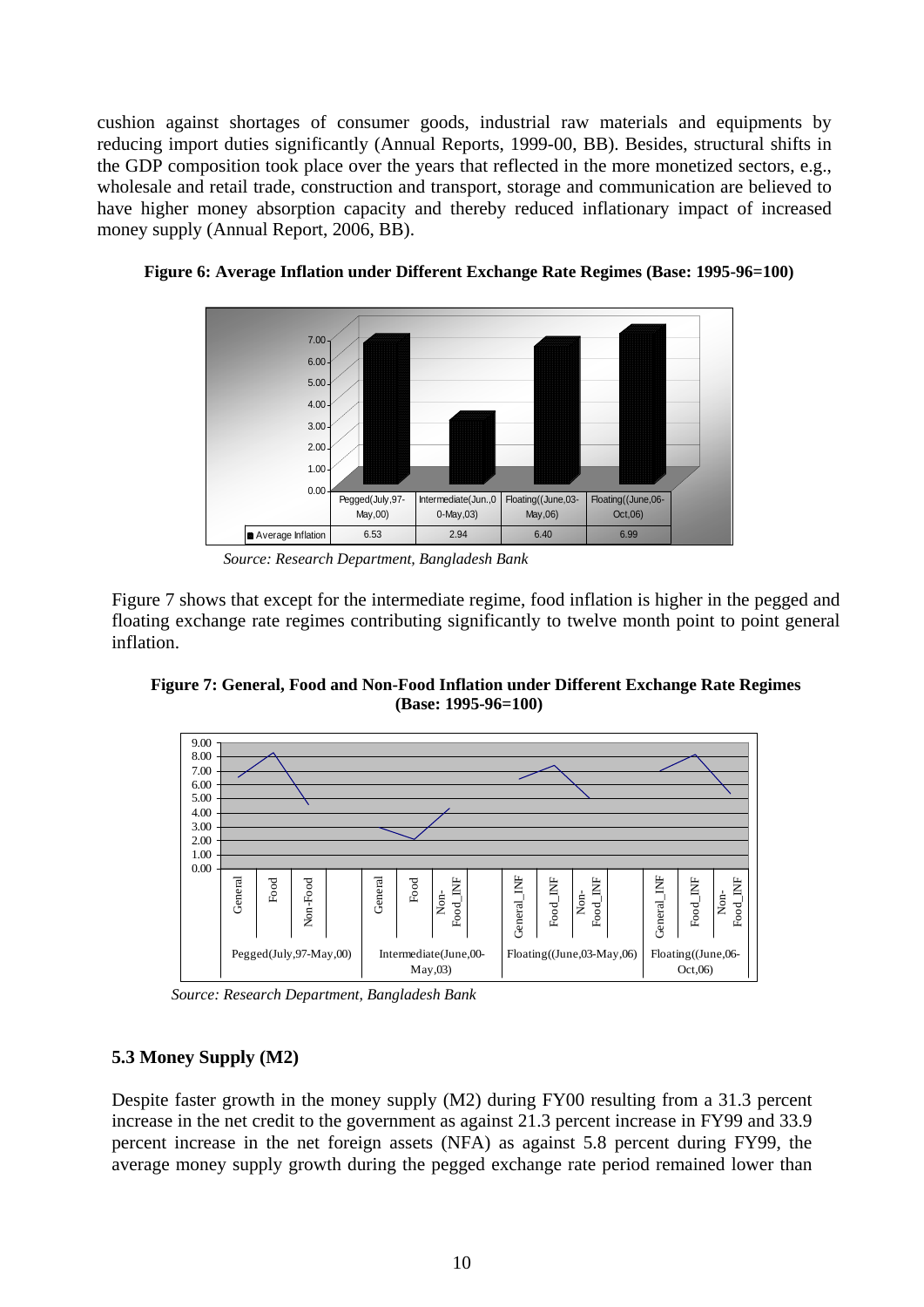cushion against shortages of consumer goods, industrial raw materials and equipments by reducing import duties significantly (Annual Reports, 1999-00, BB). Besides, structural shifts in the GDP composition took place over the years that reflected in the more monetized sectors, e.g., wholesale and retail trade, construction and transport, storage and communication are believed to have higher money absorption capacity and thereby reduced inflationary impact of increased money supply (Annual Report, 2006, BB).



**Figure 6: Average Inflation under Different Exchange Rate Regimes (Base: 1995-96=100)** 

*Source: Research Department, Bangladesh Bank* 

Figure 7 shows that except for the intermediate regime, food inflation is higher in the pegged and floating exchange rate regimes contributing significantly to twelve month point to point general inflation.





 *Source: Research Department, Bangladesh Bank* 

# **5.3 Money Supply (M2)**

Despite faster growth in the money supply (M2) during FY00 resulting from a 31.3 percent increase in the net credit to the government as against 21.3 percent increase in FY99 and 33.9 percent increase in the net foreign assets (NFA) as against 5.8 percent during FY99, the average money supply growth during the pegged exchange rate period remained lower than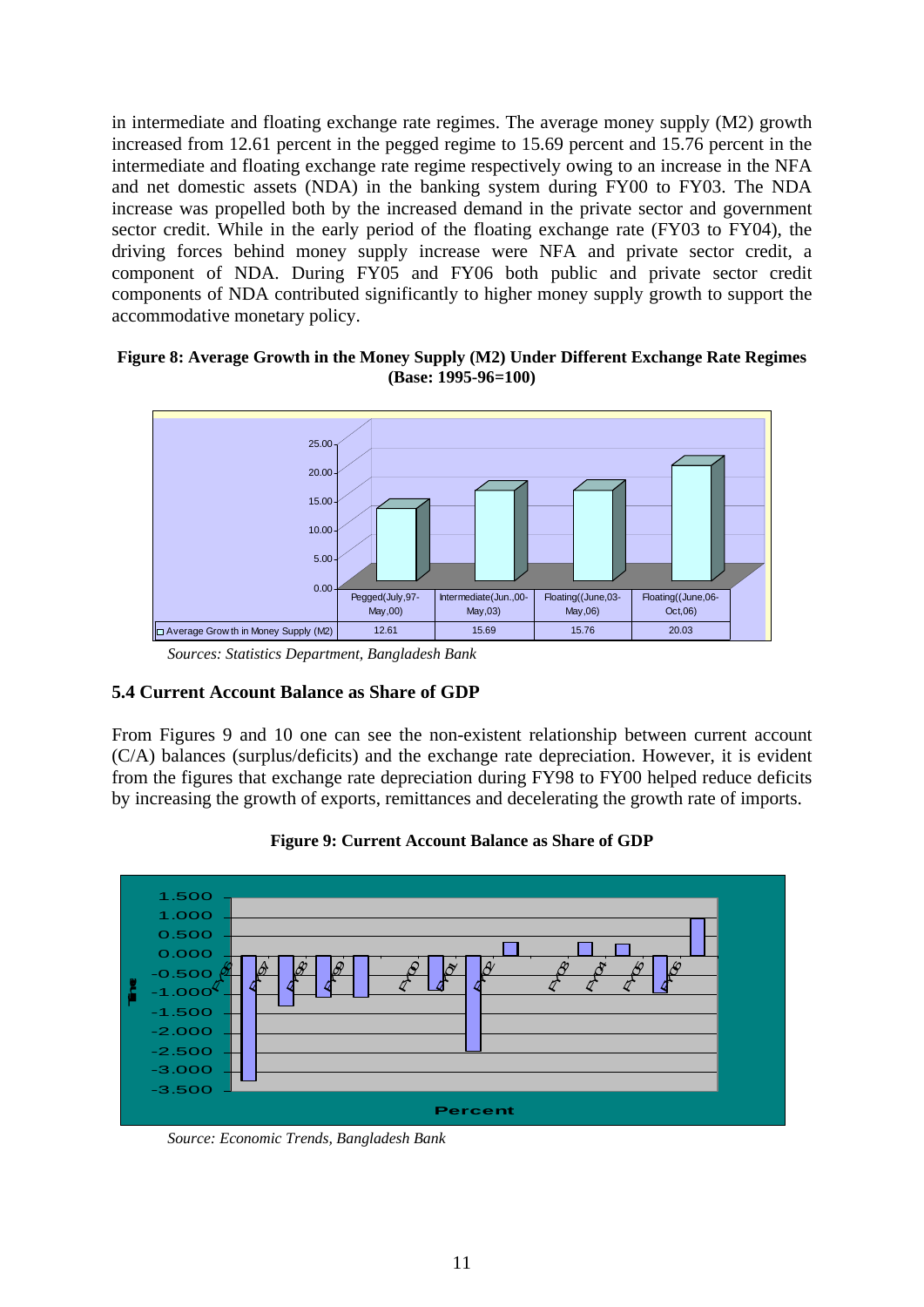in intermediate and floating exchange rate regimes. The average money supply (M2) growth increased from 12.61 percent in the pegged regime to 15.69 percent and 15.76 percent in the intermediate and floating exchange rate regime respectively owing to an increase in the NFA and net domestic assets (NDA) in the banking system during FY00 to FY03. The NDA increase was propelled both by the increased demand in the private sector and government sector credit. While in the early period of the floating exchange rate (FY03 to FY04), the driving forces behind money supply increase were NFA and private sector credit, a component of NDA. During FY05 and FY06 both public and private sector credit components of NDA contributed significantly to higher money supply growth to support the accommodative monetary policy.

#### **Figure 8: Average Growth in the Money Supply (M2) Under Different Exchange Rate Regimes (Base: 1995-96=100)**



*Sources: Statistics Department, Bangladesh Bank* 

# **5.4 Current Account Balance as Share of GDP**

From Figures 9 and 10 one can see the non-existent relationship between current account (C/A) balances (surplus/deficits) and the exchange rate depreciation. However, it is evident from the figures that exchange rate depreciation during FY98 to FY00 helped reduce deficits by increasing the growth of exports, remittances and decelerating the growth rate of imports.



**Figure 9: Current Account Balance as Share of GDP** 

*Source: Economic Trends, Bangladesh Bank*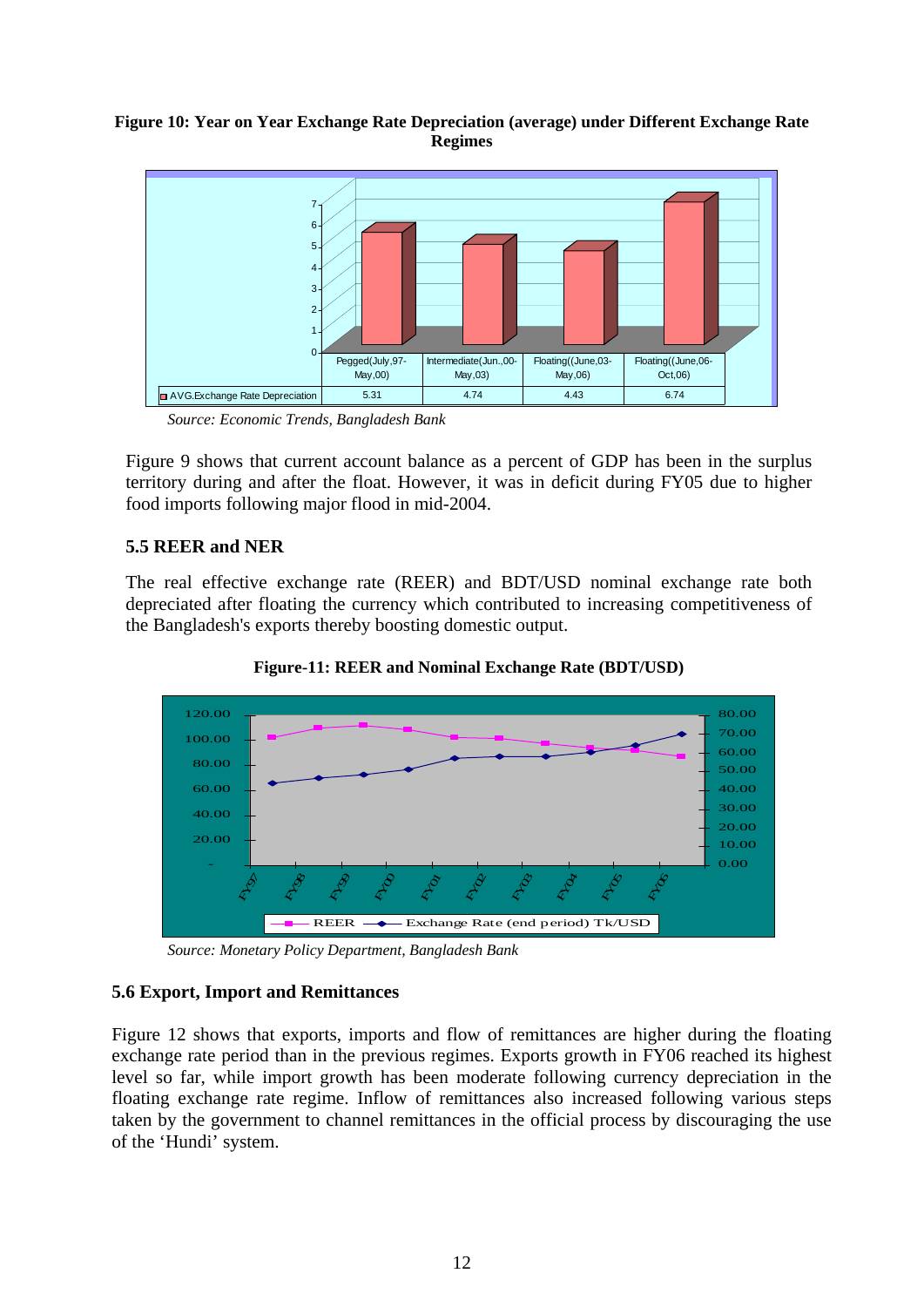#### **Figure 10: Year on Year Exchange Rate Depreciation (average) under Different Exchange Rate Regimes**



*Source: Economic Trends, Bangladesh Bank* 

Figure 9 shows that current account balance as a percent of GDP has been in the surplus territory during and after the float. However, it was in deficit during FY05 due to higher food imports following major flood in mid-2004.

# **5.5 REER and NER**

The real effective exchange rate (REER) and BDT/USD nominal exchange rate both depreciated after floating the currency which contributed to increasing competitiveness of the Bangladesh's exports thereby boosting domestic output.



**Figure-11: REER and Nominal Exchange Rate (BDT/USD)** 

*Source: Monetary Policy Department, Bangladesh Bank* 

# **5.6 Export, Import and Remittances**

Figure 12 shows that exports, imports and flow of remittances are higher during the floating exchange rate period than in the previous regimes. Exports growth in FY06 reached its highest level so far, while import growth has been moderate following currency depreciation in the floating exchange rate regime. Inflow of remittances also increased following various steps taken by the government to channel remittances in the official process by discouraging the use of the 'Hundi' system.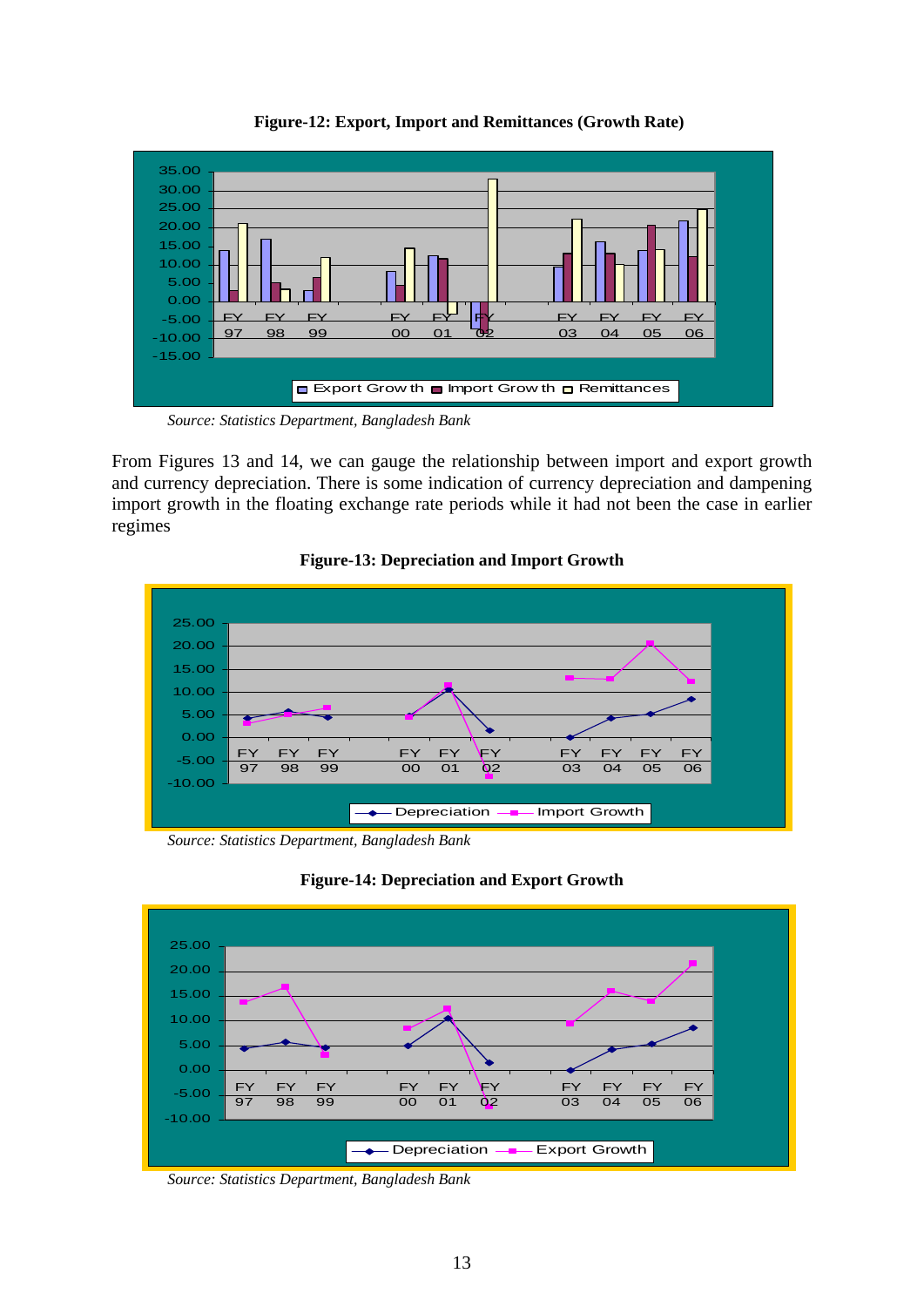

**Figure-12: Export, Import and Remittances (Growth Rate)** 

*Source: Statistics Department, Bangladesh Bank* 

From Figures 13 and 14, we can gauge the relationship between import and export growth and currency depreciation. There is some indication of currency depreciation and dampening import growth in the floating exchange rate periods while it had not been the case in earlier regimes



# **Figure-13: Depreciation and Import Growth**

*Source: Statistics Department, Bangladesh Bank* 





*Source: Statistics Department, Bangladesh Bank*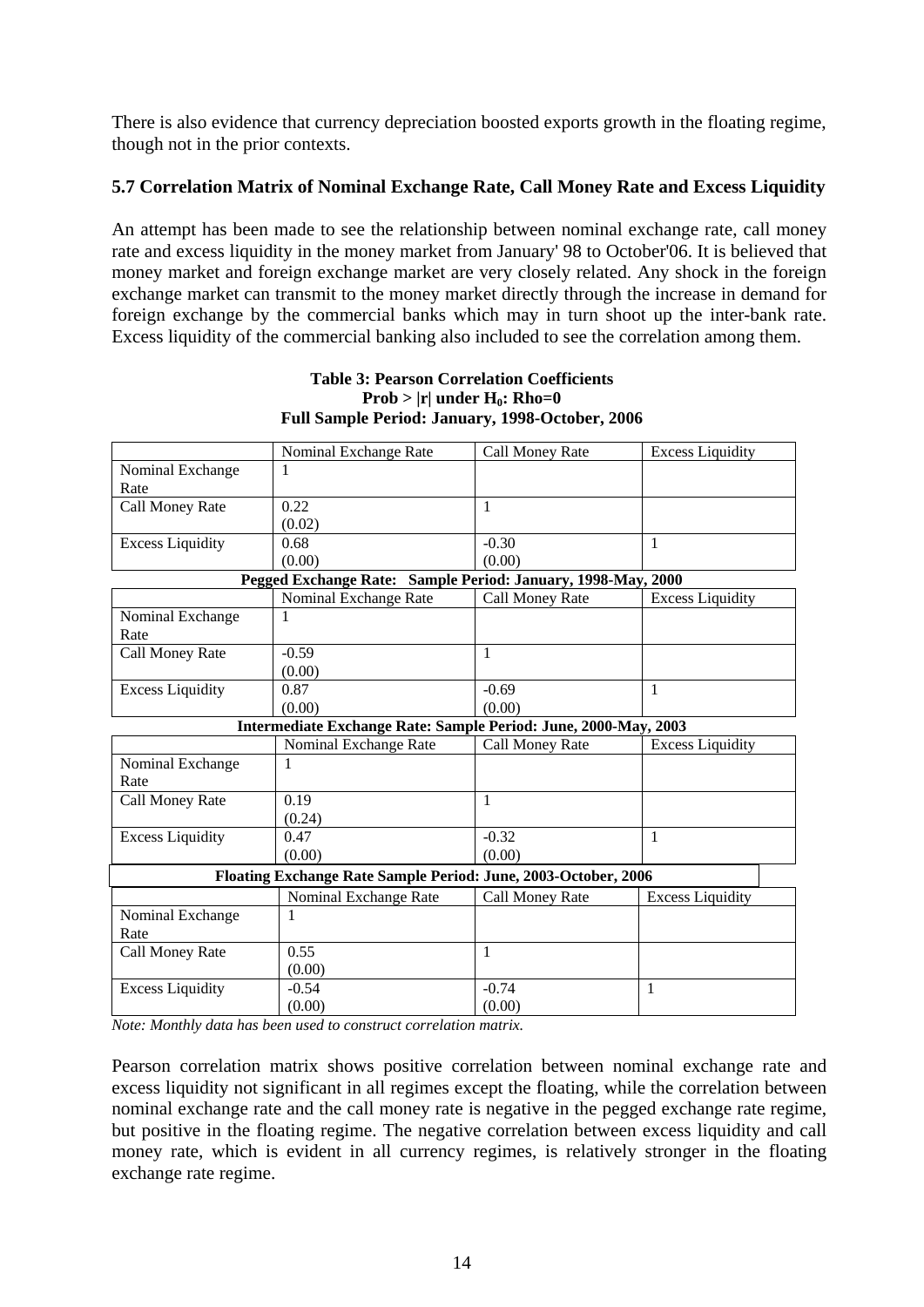There is also evidence that currency depreciation boosted exports growth in the floating regime, though not in the prior contexts.

### **5.7 Correlation Matrix of Nominal Exchange Rate, Call Money Rate and Excess Liquidity**

An attempt has been made to see the relationship between nominal exchange rate, call money rate and excess liquidity in the money market from January' 98 to October'06. It is believed that money market and foreign exchange market are very closely related. Any shock in the foreign exchange market can transmit to the money market directly through the increase in demand for foreign exchange by the commercial banks which may in turn shoot up the inter-bank rate. Excess liquidity of the commercial banking also included to see the correlation among them.

|                                                                 | Nominal Exchange Rate | Call Money Rate | <b>Excess Liquidity</b> |  |  |  |  |
|-----------------------------------------------------------------|-----------------------|-----------------|-------------------------|--|--|--|--|
| Nominal Exchange                                                | 1                     |                 |                         |  |  |  |  |
| Rate                                                            |                       |                 |                         |  |  |  |  |
| Call Money Rate                                                 | 0.22                  | $\mathbf{1}$    |                         |  |  |  |  |
|                                                                 | (0.02)                |                 |                         |  |  |  |  |
| <b>Excess Liquidity</b>                                         | 0.68                  | $-0.30$         | 1                       |  |  |  |  |
|                                                                 | (0.00)                | (0.00)          |                         |  |  |  |  |
| Pegged Exchange Rate: Sample Period: January, 1998-May, 2000    |                       |                 |                         |  |  |  |  |
|                                                                 | Nominal Exchange Rate | Call Money Rate | <b>Excess Liquidity</b> |  |  |  |  |
| Nominal Exchange                                                | 1                     |                 |                         |  |  |  |  |
| Rate                                                            |                       |                 |                         |  |  |  |  |
| Call Money Rate                                                 | $-0.59$               | $\mathbf{1}$    |                         |  |  |  |  |
|                                                                 | (0.00)                |                 |                         |  |  |  |  |
| <b>Excess Liquidity</b>                                         | 0.87                  | $-0.69$         | 1                       |  |  |  |  |
|                                                                 | (0.00)                | (0.00)          |                         |  |  |  |  |
| Intermediate Exchange Rate: Sample Period: June, 2000-May, 2003 |                       |                 |                         |  |  |  |  |
|                                                                 | Nominal Exchange Rate | Call Money Rate | <b>Excess Liquidity</b> |  |  |  |  |
| Nominal Exchange                                                | 1                     |                 |                         |  |  |  |  |
| Rate                                                            |                       |                 |                         |  |  |  |  |
| Call Money Rate                                                 | 0.19                  | 1               |                         |  |  |  |  |
|                                                                 | (0.24)                |                 |                         |  |  |  |  |
| <b>Excess Liquidity</b>                                         | 0.47                  | $-0.32$         | 1                       |  |  |  |  |
|                                                                 | (0.00)                | (0.00)          |                         |  |  |  |  |
| Floating Exchange Rate Sample Period: June, 2003-October, 2006  |                       |                 |                         |  |  |  |  |
|                                                                 | Nominal Exchange Rate | Call Money Rate | <b>Excess Liquidity</b> |  |  |  |  |
| Nominal Exchange                                                | 1                     |                 |                         |  |  |  |  |
| Rate                                                            |                       |                 |                         |  |  |  |  |
| Call Money Rate                                                 | 0.55                  | 1               |                         |  |  |  |  |
|                                                                 | (0.00)                |                 |                         |  |  |  |  |
| <b>Excess Liquidity</b>                                         | $-0.54$               | $-0.74$         | 1                       |  |  |  |  |
|                                                                 | (0.00)                | (0.00)          |                         |  |  |  |  |

#### **Table 3: Pearson Correlation Coefficients**   $Prob > |r|$  under  $H_0$ : Rho=0 **Full Sample Period: January, 1998-October, 2006**

*Note: Monthly data has been used to construct correlation matrix.* 

Pearson correlation matrix shows positive correlation between nominal exchange rate and excess liquidity not significant in all regimes except the floating, while the correlation between nominal exchange rate and the call money rate is negative in the pegged exchange rate regime, but positive in the floating regime. The negative correlation between excess liquidity and call money rate, which is evident in all currency regimes, is relatively stronger in the floating exchange rate regime.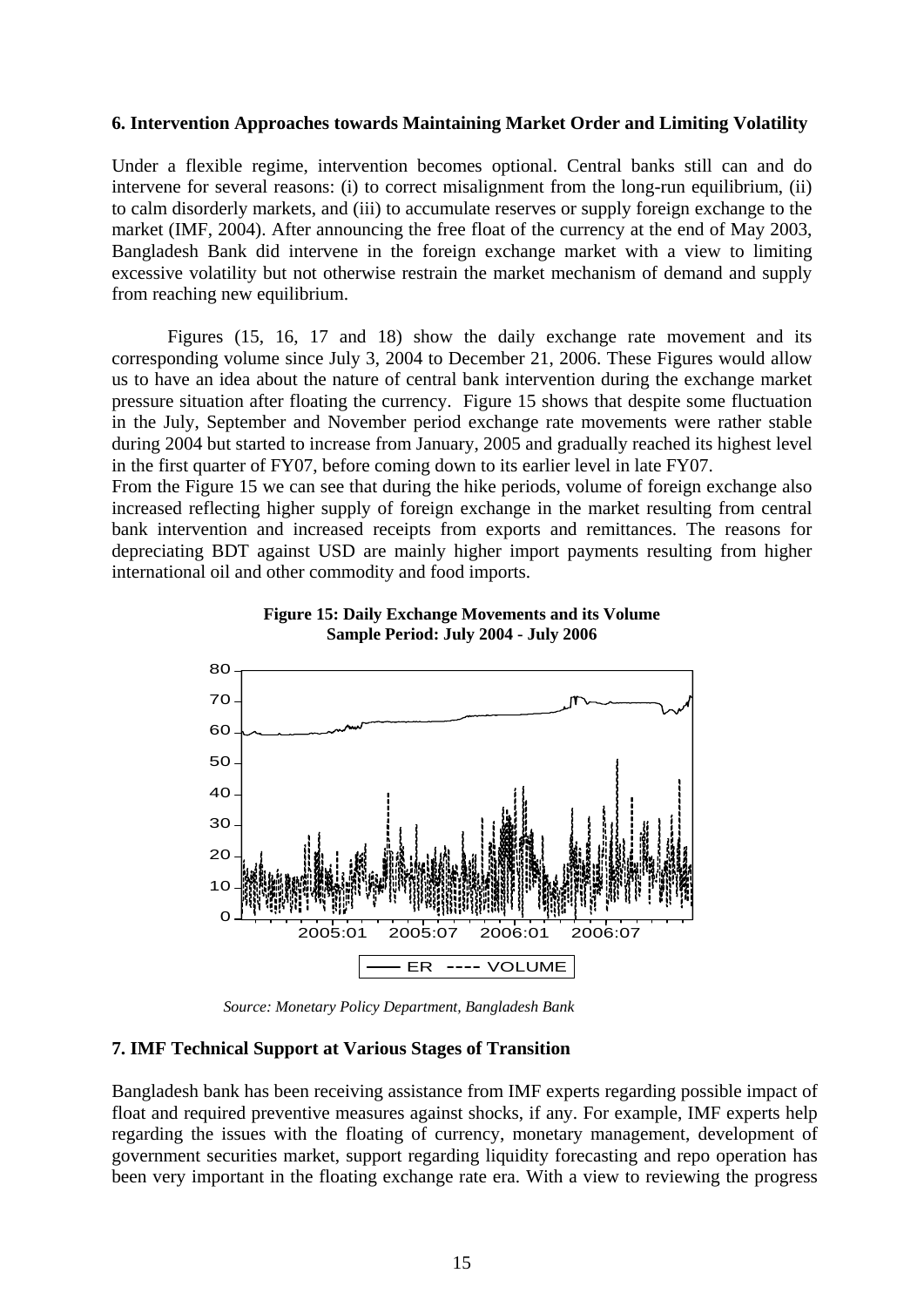#### **6. Intervention Approaches towards Maintaining Market Order and Limiting Volatility**

Under a flexible regime, intervention becomes optional. Central banks still can and do intervene for several reasons: (i) to correct misalignment from the long-run equilibrium, (ii) to calm disorderly markets, and (iii) to accumulate reserves or supply foreign exchange to the market (IMF, 2004). After announcing the free float of the currency at the end of May 2003, Bangladesh Bank did intervene in the foreign exchange market with a view to limiting excessive volatility but not otherwise restrain the market mechanism of demand and supply from reaching new equilibrium.

 Figures (15, 16, 17 and 18) show the daily exchange rate movement and its corresponding volume since July 3, 2004 to December 21, 2006. These Figures would allow us to have an idea about the nature of central bank intervention during the exchange market pressure situation after floating the currency. Figure 15 shows that despite some fluctuation in the July, September and November period exchange rate movements were rather stable during 2004 but started to increase from January, 2005 and gradually reached its highest level in the first quarter of FY07, before coming down to its earlier level in late FY07.

From the Figure 15 we can see that during the hike periods, volume of foreign exchange also increased reflecting higher supply of foreign exchange in the market resulting from central bank intervention and increased receipts from exports and remittances. The reasons for depreciating BDT against USD are mainly higher import payments resulting from higher international oil and other commodity and food imports.





*Source: Monetary Policy Department, Bangladesh Bank* 

#### **7. IMF Technical Support at Various Stages of Transition**

Bangladesh bank has been receiving assistance from IMF experts regarding possible impact of float and required preventive measures against shocks, if any. For example, IMF experts help regarding the issues with the floating of currency, monetary management, development of government securities market, support regarding liquidity forecasting and repo operation has been very important in the floating exchange rate era. With a view to reviewing the progress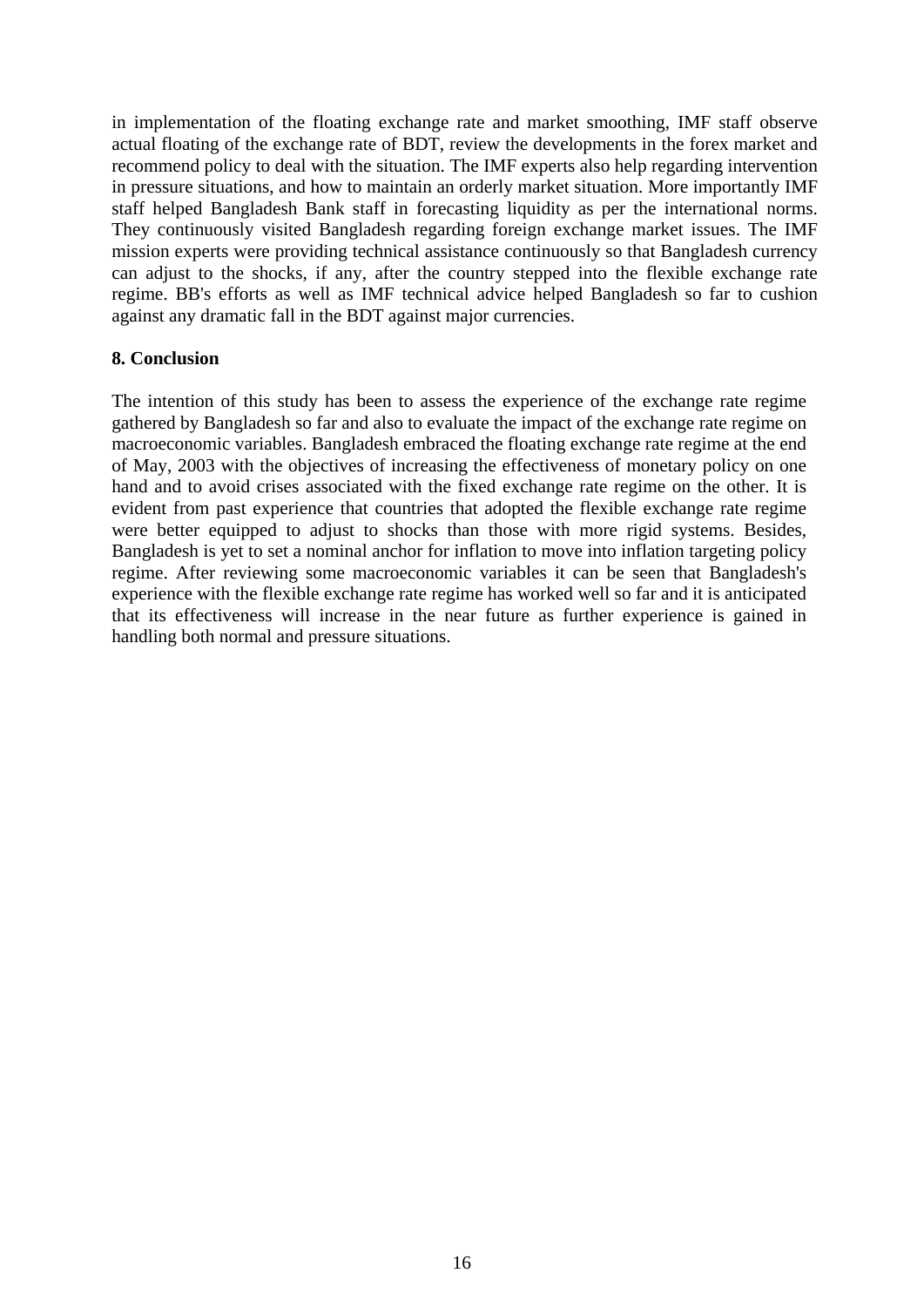in implementation of the floating exchange rate and market smoothing, IMF staff observe actual floating of the exchange rate of BDT, review the developments in the forex market and recommend policy to deal with the situation. The IMF experts also help regarding intervention in pressure situations, and how to maintain an orderly market situation. More importantly IMF staff helped Bangladesh Bank staff in forecasting liquidity as per the international norms. They continuously visited Bangladesh regarding foreign exchange market issues. The IMF mission experts were providing technical assistance continuously so that Bangladesh currency can adjust to the shocks, if any, after the country stepped into the flexible exchange rate regime. BB's efforts as well as IMF technical advice helped Bangladesh so far to cushion against any dramatic fall in the BDT against major currencies.

#### **8. Conclusion**

The intention of this study has been to assess the experience of the exchange rate regime gathered by Bangladesh so far and also to evaluate the impact of the exchange rate regime on macroeconomic variables. Bangladesh embraced the floating exchange rate regime at the end of May, 2003 with the objectives of increasing the effectiveness of monetary policy on one hand and to avoid crises associated with the fixed exchange rate regime on the other. It is evident from past experience that countries that adopted the flexible exchange rate regime were better equipped to adjust to shocks than those with more rigid systems. Besides, Bangladesh is yet to set a nominal anchor for inflation to move into inflation targeting policy regime. After reviewing some macroeconomic variables it can be seen that Bangladesh's experience with the flexible exchange rate regime has worked well so far and it is anticipated that its effectiveness will increase in the near future as further experience is gained in handling both normal and pressure situations.